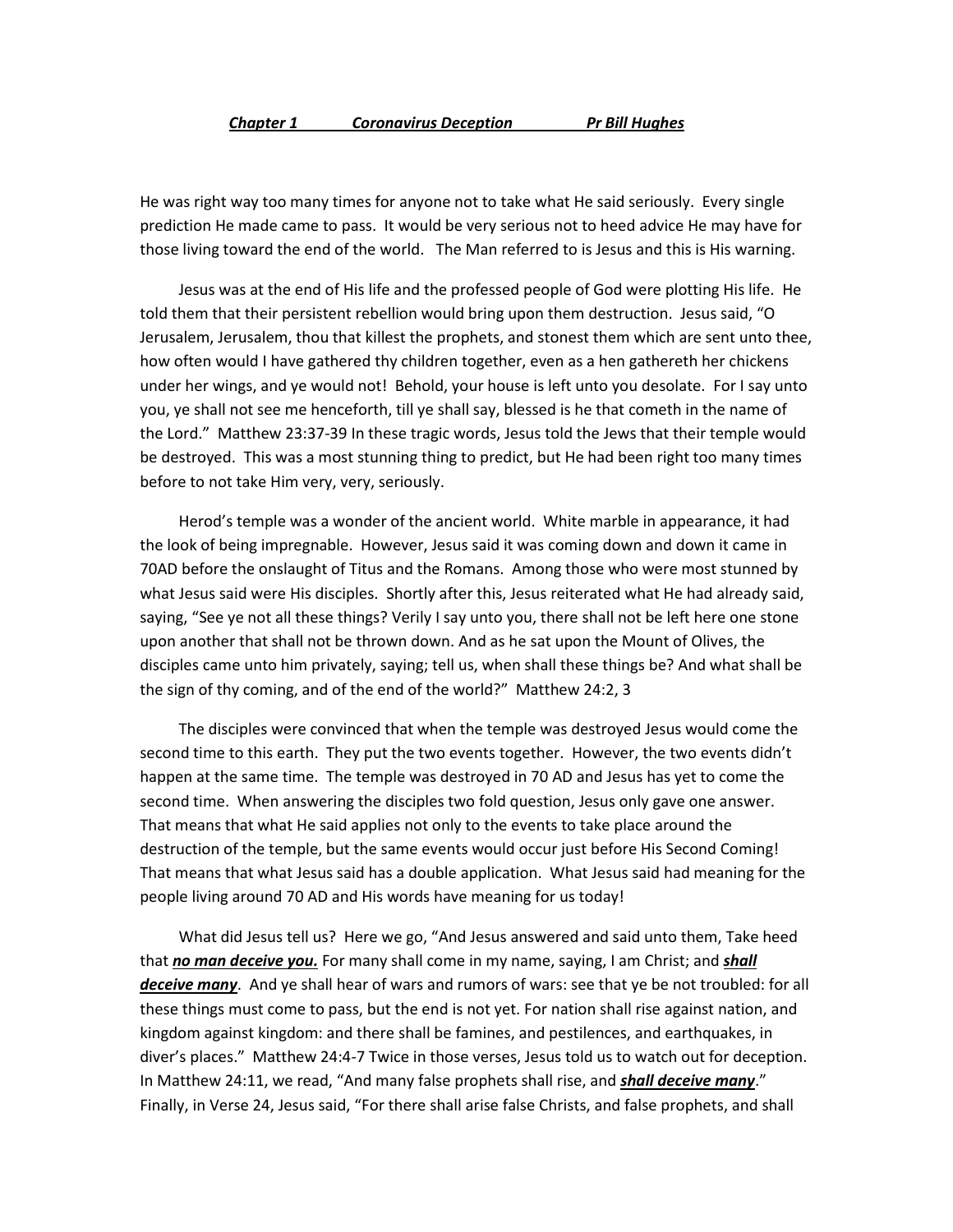#### *Chapter 1 Coronavirus Deception Pr Bill Hughes*

He was right way too many times for anyone not to take what He said seriously. Every single prediction He made came to pass. It would be very serious not to heed advice He may have for those living toward the end of the world. The Man referred to is Jesus and this is His warning.

 Jesus was at the end of His life and the professed people of God were plotting His life. He told them that their persistent rebellion would bring upon them destruction. Jesus said, "O Jerusalem, Jerusalem, thou that killest the prophets, and stonest them which are sent unto thee, how often would I have gathered thy children together, even as a hen gathereth her chickens under her wings, and ye would not! Behold, your house is left unto you desolate. For I say unto you, ye shall not see me henceforth, till ye shall say, blessed is he that cometh in the name of the Lord." Matthew 23:37-39 In these tragic words, Jesus told the Jews that their temple would be destroyed. This was a most stunning thing to predict, but He had been right too many times before to not take Him very, very, seriously.

 Herod's temple was a wonder of the ancient world. White marble in appearance, it had the look of being impregnable. However, Jesus said it was coming down and down it came in 70AD before the onslaught of Titus and the Romans. Among those who were most stunned by what Jesus said were His disciples. Shortly after this, Jesus reiterated what He had already said, saying, "See ye not all these things? Verily I say unto you, there shall not be left here one stone upon another that shall not be thrown down. And as he sat upon the Mount of Olives, the disciples came unto him privately, saying; tell us, when shall these things be? And what shall be the sign of thy coming, and of the end of the world?" Matthew 24:2, 3

 The disciples were convinced that when the temple was destroyed Jesus would come the second time to this earth. They put the two events together. However, the two events didn't happen at the same time. The temple was destroyed in 70 AD and Jesus has yet to come the second time. When answering the disciples two fold question, Jesus only gave one answer. That means that what He said applies not only to the events to take place around the destruction of the temple, but the same events would occur just before His Second Coming! That means that what Jesus said has a double application. What Jesus said had meaning for the people living around 70 AD and His words have meaning for us today!

 What did Jesus tell us? Here we go, "And Jesus answered and said unto them, Take heed that *no man deceive you.* For many shall come in my name, saying, I am Christ; and *shall deceive many*. And ye shall hear of wars and rumors of wars: see that ye be not troubled: for all these things must come to pass, but the end is not yet. For nation shall rise against nation, and kingdom against kingdom: and there shall be famines, and pestilences, and earthquakes, in diver's places." Matthew 24:4-7 Twice in those verses, Jesus told us to watch out for deception. In Matthew 24:11, we read, "And many false prophets shall rise, and *shall deceive many*." Finally, in Verse 24, Jesus said, "For there shall arise false Christs, and false prophets, and shall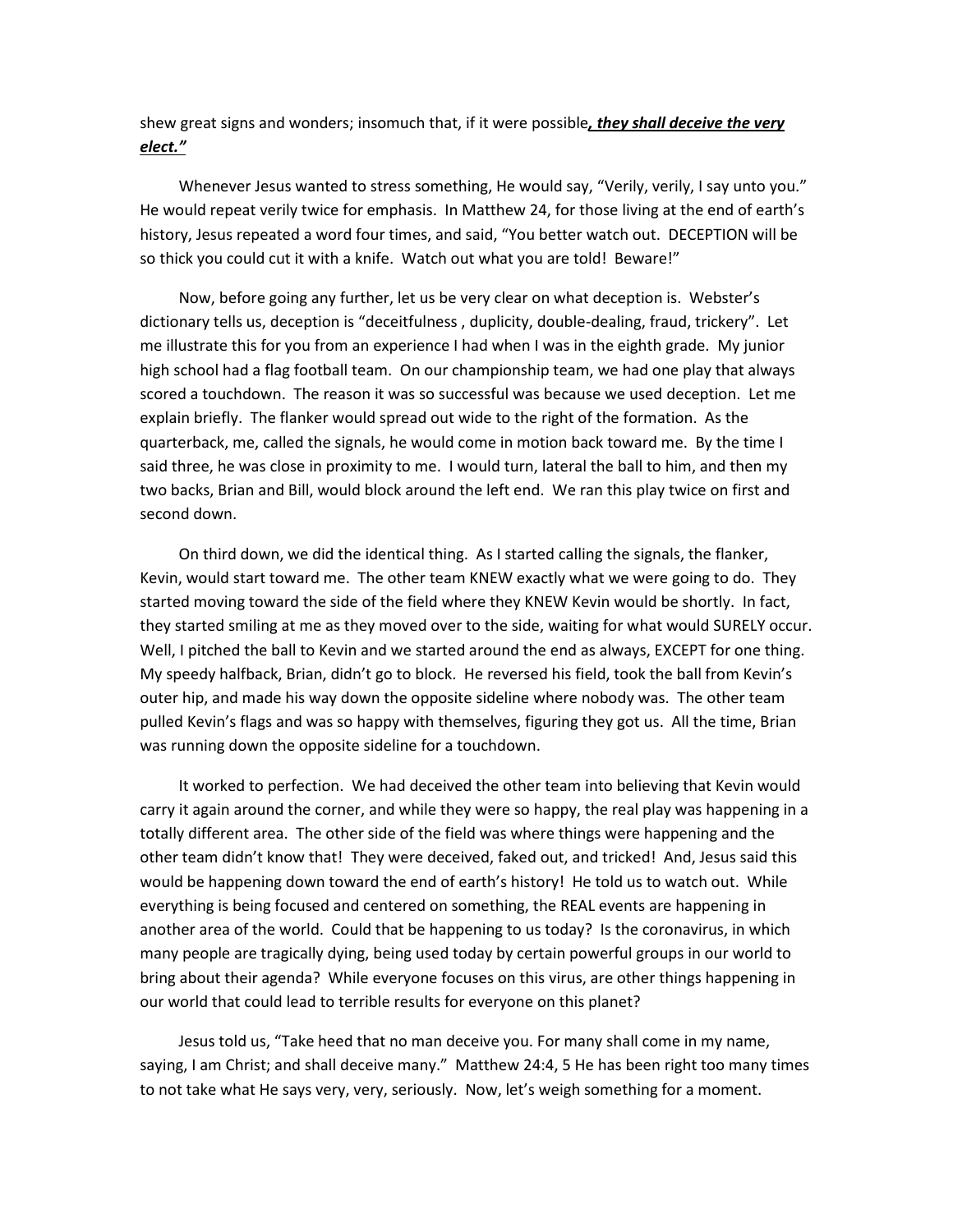shew great signs and wonders; insomuch that, if it were possible*, they shall deceive the very elect."*

 Whenever Jesus wanted to stress something, He would say, "Verily, verily, I say unto you." He would repeat verily twice for emphasis. In Matthew 24, for those living at the end of earth's history, Jesus repeated a word four times, and said, "You better watch out. DECEPTION will be so thick you could cut it with a knife. Watch out what you are told! Beware!"

 Now, before going any further, let us be very clear on what deception is. Webster's dictionary tells us, deception is "deceitfulness , duplicity, double-dealing, fraud, trickery". Let me illustrate this for you from an experience I had when I was in the eighth grade. My junior high school had a flag football team. On our championship team, we had one play that always scored a touchdown. The reason it was so successful was because we used deception. Let me explain briefly. The flanker would spread out wide to the right of the formation. As the quarterback, me, called the signals, he would come in motion back toward me. By the time I said three, he was close in proximity to me. I would turn, lateral the ball to him, and then my two backs, Brian and Bill, would block around the left end. We ran this play twice on first and second down.

 On third down, we did the identical thing. As I started calling the signals, the flanker, Kevin, would start toward me. The other team KNEW exactly what we were going to do. They started moving toward the side of the field where they KNEW Kevin would be shortly. In fact, they started smiling at me as they moved over to the side, waiting for what would SURELY occur. Well, I pitched the ball to Kevin and we started around the end as always, EXCEPT for one thing. My speedy halfback, Brian, didn't go to block. He reversed his field, took the ball from Kevin's outer hip, and made his way down the opposite sideline where nobody was. The other team pulled Kevin's flags and was so happy with themselves, figuring they got us. All the time, Brian was running down the opposite sideline for a touchdown.

 It worked to perfection. We had deceived the other team into believing that Kevin would carry it again around the corner, and while they were so happy, the real play was happening in a totally different area. The other side of the field was where things were happening and the other team didn't know that! They were deceived, faked out, and tricked! And, Jesus said this would be happening down toward the end of earth's history! He told us to watch out. While everything is being focused and centered on something, the REAL events are happening in another area of the world. Could that be happening to us today? Is the coronavirus, in which many people are tragically dying, being used today by certain powerful groups in our world to bring about their agenda? While everyone focuses on this virus, are other things happening in our world that could lead to terrible results for everyone on this planet?

 Jesus told us, "Take heed that no man deceive you. For many shall come in my name, saying, I am Christ; and shall deceive many." Matthew 24:4, 5 He has been right too many times to not take what He says very, very, seriously. Now, let's weigh something for a moment.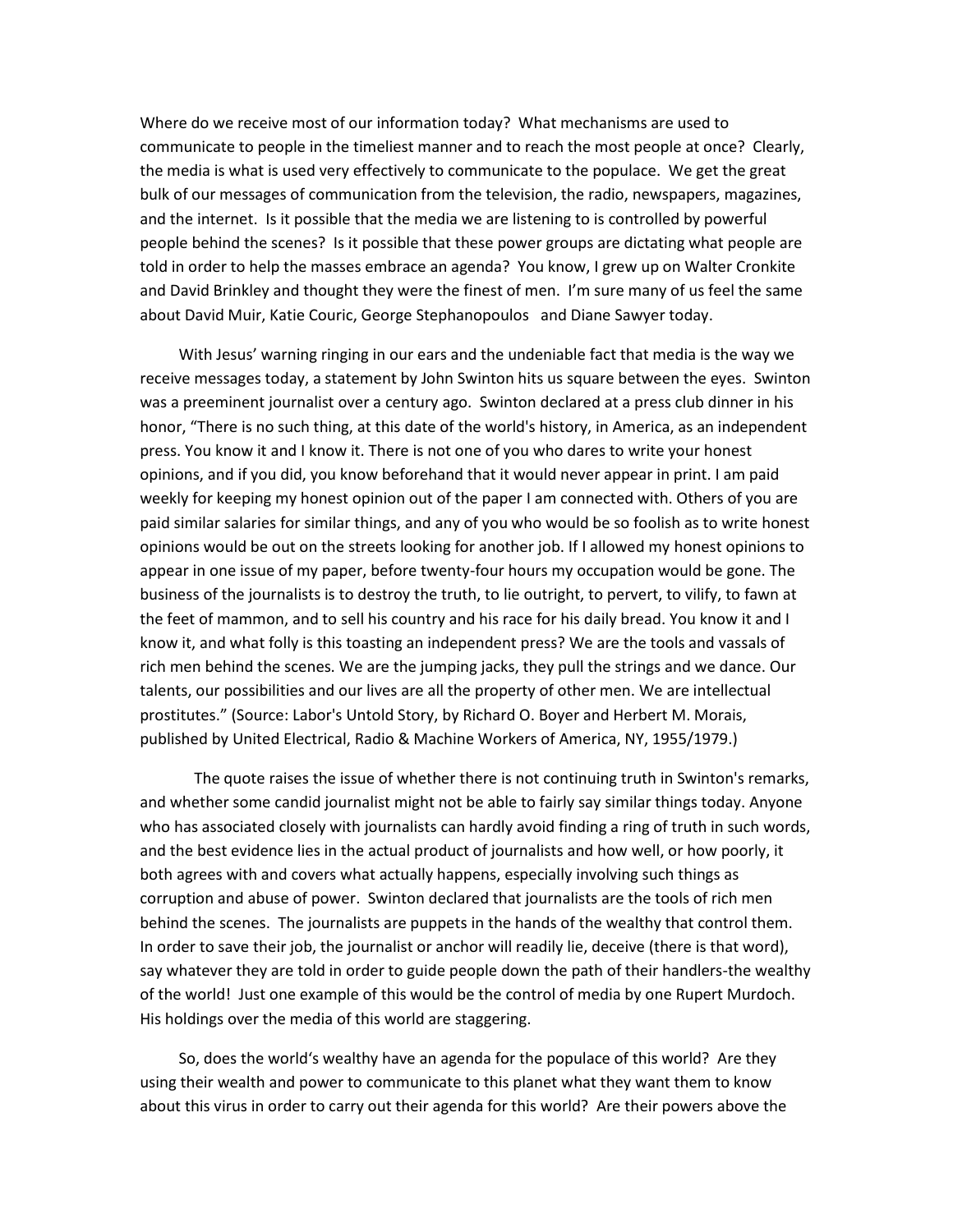Where do we receive most of our information today? What mechanisms are used to communicate to people in the timeliest manner and to reach the most people at once? Clearly, the media is what is used very effectively to communicate to the populace. We get the great bulk of our messages of communication from the television, the radio, newspapers, magazines, and the internet. Is it possible that the media we are listening to is controlled by powerful people behind the scenes? Is it possible that these power groups are dictating what people are told in order to help the masses embrace an agenda? You know, I grew up on Walter Cronkite and David Brinkley and thought they were the finest of men. I'm sure many of us feel the same about David Muir, Katie Couric, George Stephanopoulos and Diane Sawyer today.

 With Jesus' warning ringing in our ears and the undeniable fact that media is the way we receive messages today, a statement by John Swinton hits us square between the eyes. Swinton was a preeminent journalist over a century ago. Swinton declared at a press club dinner in his honor, "There is no such thing, at this date of the world's history, in America, as an independent press. You know it and I know it. There is not one of you who dares to write your honest opinions, and if you did, you know beforehand that it would never appear in print. I am paid weekly for keeping my honest opinion out of the paper I am connected with. Others of you are paid similar salaries for similar things, and any of you who would be so foolish as to write honest opinions would be out on the streets looking for another job. If I allowed my honest opinions to appear in one issue of my paper, before twenty-four hours my occupation would be gone. The business of the journalists is to destroy the truth, to lie outright, to pervert, to vilify, to fawn at the feet of mammon, and to sell his country and his race for his daily bread. You know it and I know it, and what folly is this toasting an independent press? We are the tools and vassals of rich men behind the scenes. We are the jumping jacks, they pull the strings and we dance. Our talents, our possibilities and our lives are all the property of other men. We are intellectual prostitutes." (Source: Labor's Untold Story, by Richard O. Boyer and Herbert M. Morais, published by United Electrical, Radio & Machine Workers of America, NY, 1955/1979.)

 The quote raises the issue of whether there is not continuing truth in Swinton's remarks, and whether some candid journalist might not be able to fairly say similar things today. Anyone who has associated closely with journalists can hardly avoid finding a ring of truth in such words, and the best evidence lies in the actual product of journalists and how well, or how poorly, it both agrees with and covers what actually happens, especially involving such things as corruption and abuse of power. Swinton declared that journalists are the tools of rich men behind the scenes. The journalists are puppets in the hands of the wealthy that control them. In order to save their job, the journalist or anchor will readily lie, deceive (there is that word), say whatever they are told in order to guide people down the path of their handlers-the wealthy of the world! Just one example of this would be the control of media by one Rupert Murdoch. His holdings over the media of this world are staggering.

 So, does the world's wealthy have an agenda for the populace of this world? Are they using their wealth and power to communicate to this planet what they want them to know about this virus in order to carry out their agenda for this world? Are their powers above the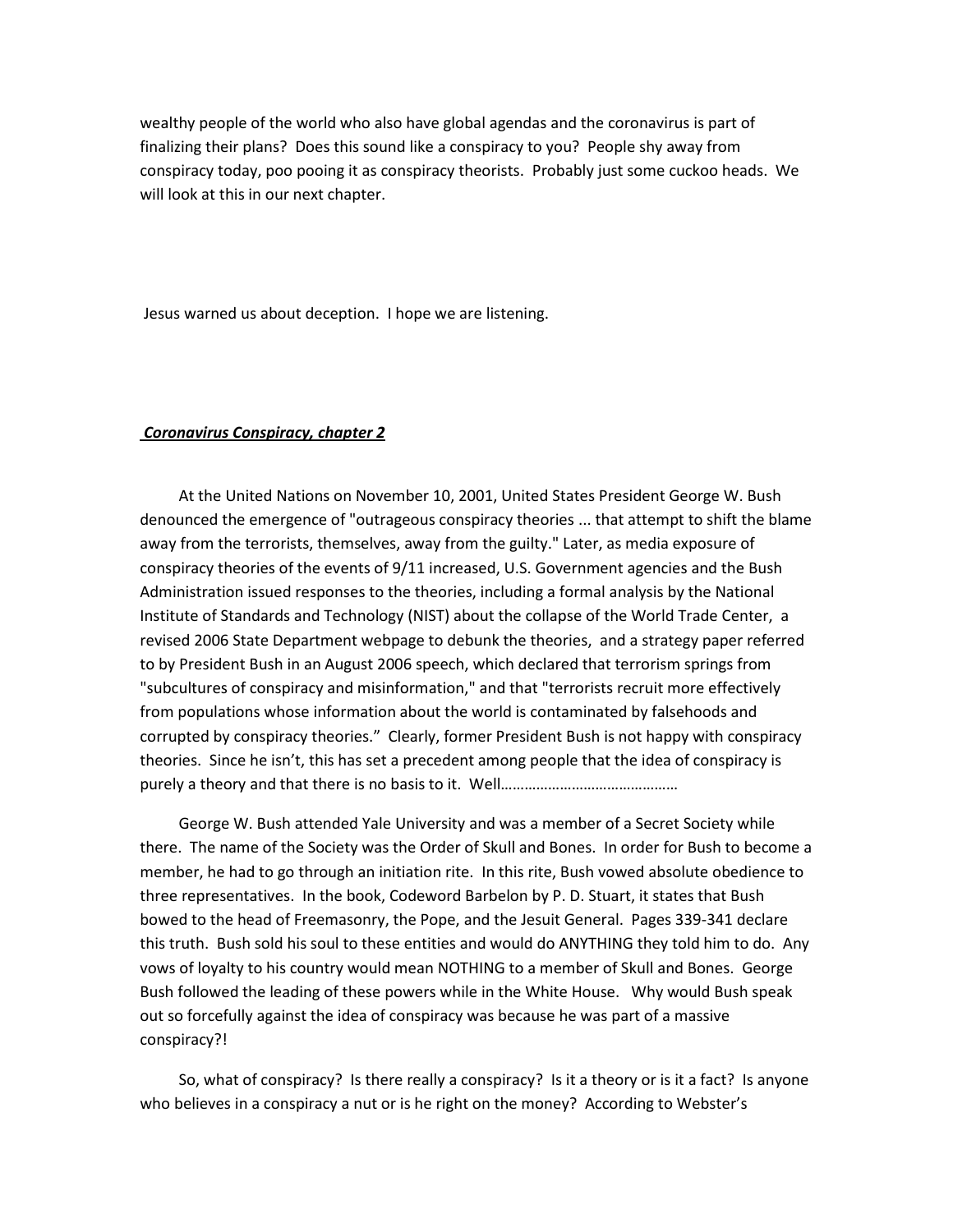wealthy people of the world who also have global agendas and the coronavirus is part of finalizing their plans? Does this sound like a conspiracy to you? People shy away from conspiracy today, poo pooing it as conspiracy theorists. Probably just some cuckoo heads. We will look at this in our next chapter.

Jesus warned us about deception. I hope we are listening.

#### *Coronavirus Conspiracy, chapter 2*

 At the United Nations on November 10, 2001, United States President George W. Bush denounced the emergence of "outrageous conspiracy theories ... that attempt to shift the blame away from the terrorists, themselves, away from the guilty." Later, as media exposure of conspiracy theories of the events of 9/11 increased, U.S. Government agencies and the Bush Administration issued responses to the theories, including a formal analysis by the National Institute of Standards and Technology (NIST) about the collapse of the World Trade Center, a revised 2006 State Department webpage to debunk the theories, and a strategy paper referred to by President Bush in an August 2006 speech, which declared that terrorism springs from "subcultures of conspiracy and misinformation," and that "terrorists recruit more effectively from populations whose information about the world is contaminated by falsehoods and corrupted by conspiracy theories." Clearly, former President Bush is not happy with conspiracy theories. Since he isn't, this has set a precedent among people that the idea of conspiracy is purely a theory and that there is no basis to it. Well………………………………………

 George W. Bush attended Yale University and was a member of a Secret Society while there. The name of the Society was the Order of Skull and Bones. In order for Bush to become a member, he had to go through an initiation rite. In this rite, Bush vowed absolute obedience to three representatives. In the book, Codeword Barbelon by P. D. Stuart, it states that Bush bowed to the head of Freemasonry, the Pope, and the Jesuit General. Pages 339-341 declare this truth. Bush sold his soul to these entities and would do ANYTHING they told him to do. Any vows of loyalty to his country would mean NOTHING to a member of Skull and Bones. George Bush followed the leading of these powers while in the White House. Why would Bush speak out so forcefully against the idea of conspiracy was because he was part of a massive conspiracy?!

 So, what of conspiracy? Is there really a conspiracy? Is it a theory or is it a fact? Is anyone who believes in a conspiracy a nut or is he right on the money? According to Webster's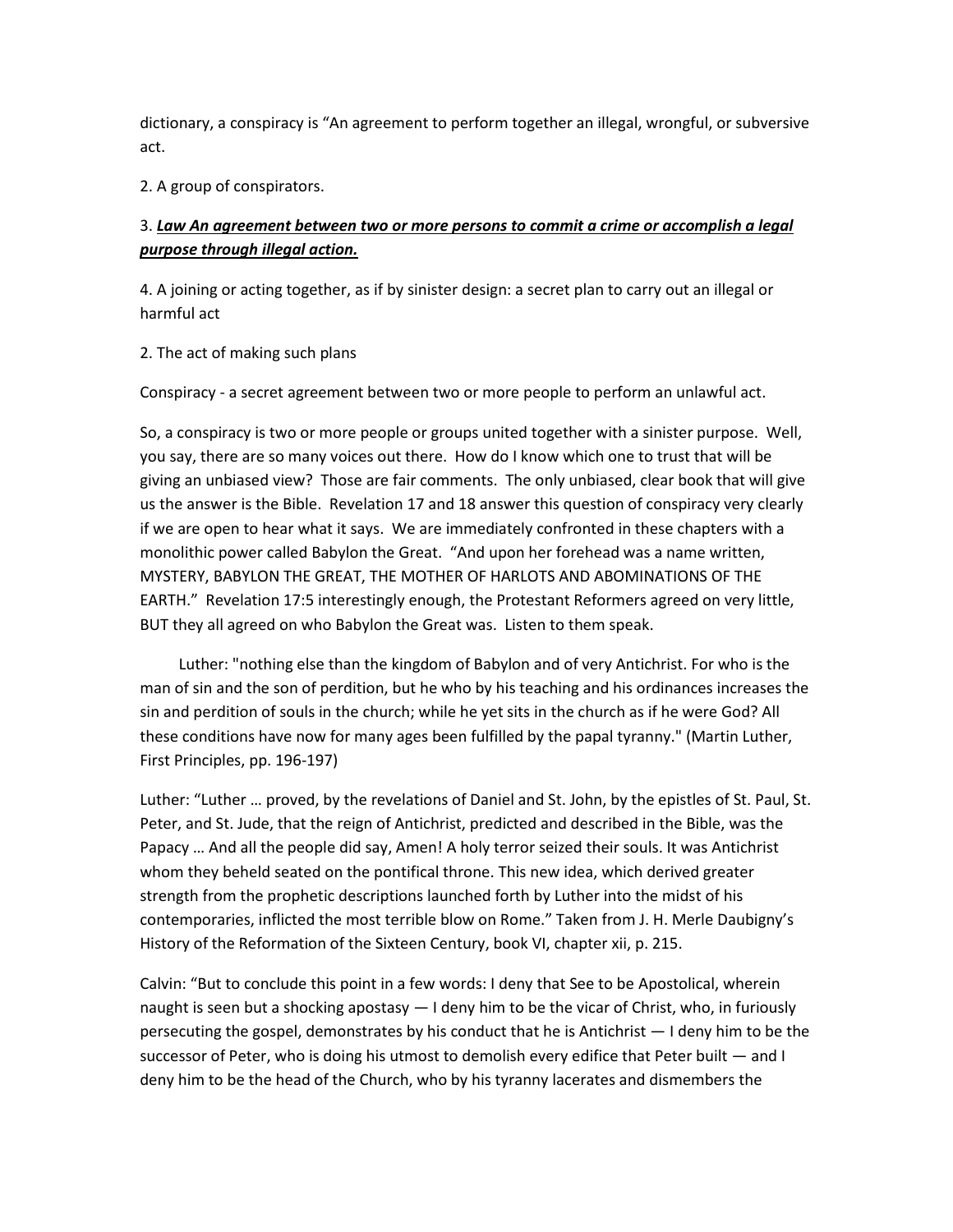dictionary, a conspiracy is "An agreement to perform together an illegal, wrongful, or subversive act.

2. A group of conspirators.

# 3. *Law An agreement between two or more persons to commit a crime or accomplish a legal purpose through illegal action.*

4. A joining or acting together, as if by sinister design: a secret plan to carry out an illegal or harmful act

2. The act of making such plans

Conspiracy - a secret agreement between two or more people to perform an unlawful act.

So, a conspiracy is two or more people or groups united together with a sinister purpose. Well, you say, there are so many voices out there. How do I know which one to trust that will be giving an unbiased view? Those are fair comments. The only unbiased, clear book that will give us the answer is the Bible. Revelation 17 and 18 answer this question of conspiracy very clearly if we are open to hear what it says. We are immediately confronted in these chapters with a monolithic power called Babylon the Great. "And upon her forehead was a name written, MYSTERY, BABYLON THE GREAT, THE MOTHER OF HARLOTS AND ABOMINATIONS OF THE EARTH." Revelation 17:5 interestingly enough, the Protestant Reformers agreed on very little, BUT they all agreed on who Babylon the Great was. Listen to them speak.

 Luther: "nothing else than the kingdom of Babylon and of very Antichrist. For who is the man of sin and the son of perdition, but he who by his teaching and his ordinances increases the sin and perdition of souls in the church; while he yet sits in the church as if he were God? All these conditions have now for many ages been fulfilled by the papal tyranny." (Martin Luther, First Principles, pp. 196-197)

Luther: "Luther … proved, by the revelations of Daniel and St. John, by the epistles of St. Paul, St. Peter, and St. Jude, that the reign of Antichrist, predicted and described in the Bible, was the Papacy … And all the people did say, Amen! A holy terror seized their souls. It was Antichrist whom they beheld seated on the pontifical throne. This new idea, which derived greater strength from the prophetic descriptions launched forth by Luther into the midst of his contemporaries, inflicted the most terrible blow on Rome." Taken from J. H. Merle Daubigny's History of the Reformation of the Sixteen Century, book VI, chapter xii, p. 215.

Calvin: "But to conclude this point in a few words: I deny that See to be Apostolical, wherein naught is seen but a shocking apostasy — I deny him to be the vicar of Christ, who, in furiously persecuting the gospel, demonstrates by his conduct that he is Antichrist — I deny him to be the successor of Peter, who is doing his utmost to demolish every edifice that Peter built  $-$  and I deny him to be the head of the Church, who by his tyranny lacerates and dismembers the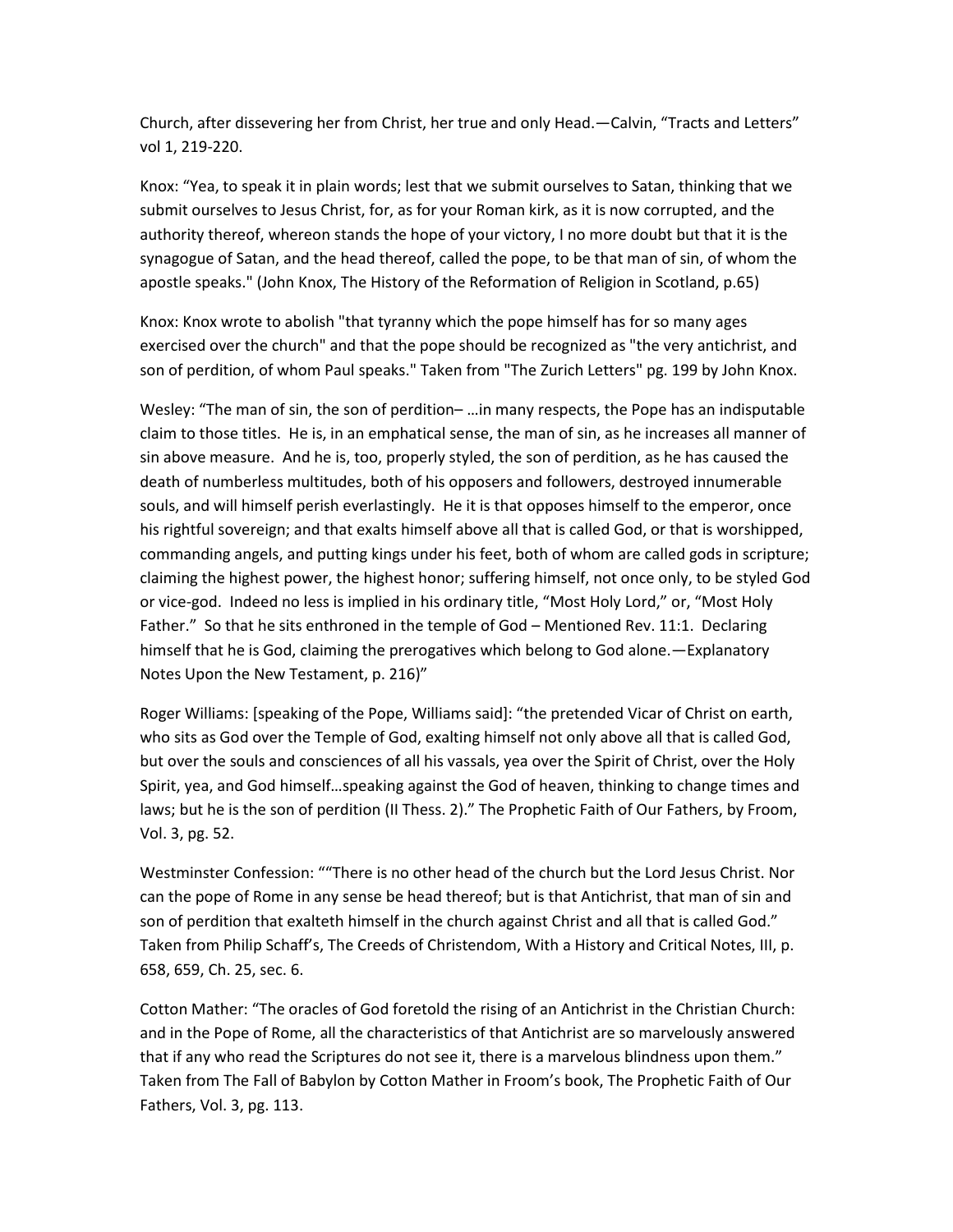Church, after dissevering her from Christ, her true and only Head.—Calvin, "Tracts and Letters" vol 1, 219-220.

Knox: "Yea, to speak it in plain words; lest that we submit ourselves to Satan, thinking that we submit ourselves to Jesus Christ, for, as for your Roman kirk, as it is now corrupted, and the authority thereof, whereon stands the hope of your victory, I no more doubt but that it is the synagogue of Satan, and the head thereof, called the pope, to be that man of sin, of whom the apostle speaks." (John Knox, The History of the Reformation of Religion in Scotland, p.65)

Knox: Knox wrote to abolish "that tyranny which the pope himself has for so many ages exercised over the church" and that the pope should be recognized as "the very antichrist, and son of perdition, of whom Paul speaks." Taken from "The Zurich Letters" pg. 199 by John Knox.

Wesley: "The man of sin, the son of perdition– …in many respects, the Pope has an indisputable claim to those titles. He is, in an emphatical sense, the man of sin, as he increases all manner of sin above measure. And he is, too, properly styled, the son of perdition, as he has caused the death of numberless multitudes, both of his opposers and followers, destroyed innumerable souls, and will himself perish everlastingly. He it is that opposes himself to the emperor, once his rightful sovereign; and that exalts himself above all that is called God, or that is worshipped, commanding angels, and putting kings under his feet, both of whom are called gods in scripture; claiming the highest power, the highest honor; suffering himself, not once only, to be styled God or vice-god. Indeed no less is implied in his ordinary title, "Most Holy Lord," or, "Most Holy Father." So that he sits enthroned in the temple of God – Mentioned Rev. 11:1. Declaring himself that he is God, claiming the prerogatives which belong to God alone.—Explanatory Notes Upon the New Testament, p. 216)"

Roger Williams: [speaking of the Pope, Williams said]: "the pretended Vicar of Christ on earth, who sits as God over the Temple of God, exalting himself not only above all that is called God, but over the souls and consciences of all his vassals, yea over the Spirit of Christ, over the Holy Spirit, yea, and God himself…speaking against the God of heaven, thinking to change times and laws; but he is the son of perdition (II Thess. 2)." The Prophetic Faith of Our Fathers, by Froom, Vol. 3, pg. 52.

Westminster Confession: ""There is no other head of the church but the Lord Jesus Christ. Nor can the pope of Rome in any sense be head thereof; but is that Antichrist, that man of sin and son of perdition that exalteth himself in the church against Christ and all that is called God." Taken from Philip Schaff's, The Creeds of Christendom, With a History and Critical Notes, III, p. 658, 659, Ch. 25, sec. 6.

Cotton Mather: "The oracles of God foretold the rising of an Antichrist in the Christian Church: and in the Pope of Rome, all the characteristics of that Antichrist are so marvelously answered that if any who read the Scriptures do not see it, there is a marvelous blindness upon them." Taken from The Fall of Babylon by Cotton Mather in Froom's book, The Prophetic Faith of Our Fathers, Vol. 3, pg. 113.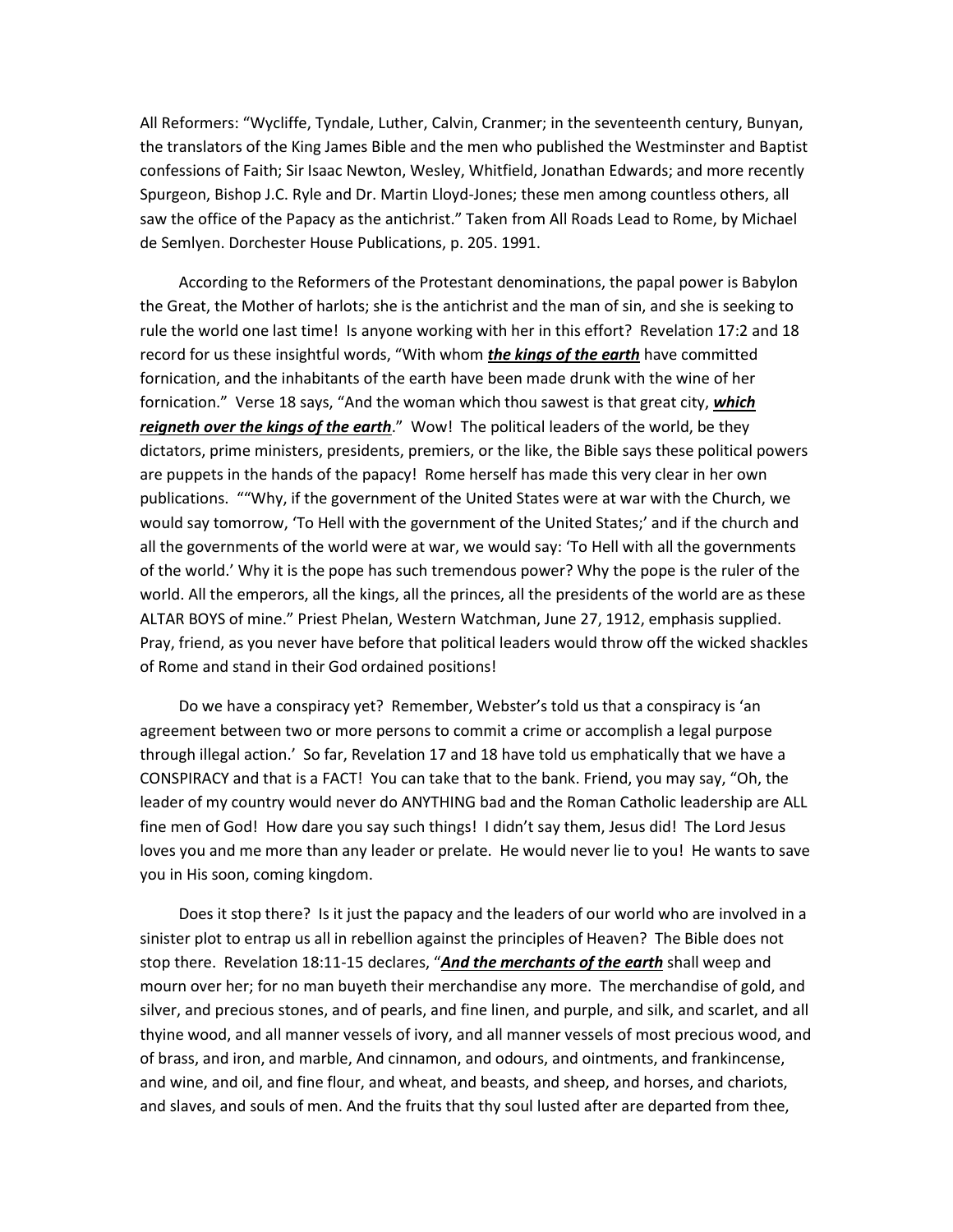All Reformers: "Wycliffe, Tyndale, Luther, Calvin, Cranmer; in the seventeenth century, Bunyan, the translators of the King James Bible and the men who published the Westminster and Baptist confessions of Faith; Sir Isaac Newton, Wesley, Whitfield, Jonathan Edwards; and more recently Spurgeon, Bishop J.C. Ryle and Dr. Martin Lloyd-Jones; these men among countless others, all saw the office of the Papacy as the antichrist." Taken from All Roads Lead to Rome, by Michael de Semlyen. Dorchester House Publications, p. 205. 1991.

 According to the Reformers of the Protestant denominations, the papal power is Babylon the Great, the Mother of harlots; she is the antichrist and the man of sin, and she is seeking to rule the world one last time! Is anyone working with her in this effort? Revelation 17:2 and 18 record for us these insightful words, "With whom *the kings of the earth* have committed fornication, and the inhabitants of the earth have been made drunk with the wine of her fornication." Verse 18 says, "And the woman which thou sawest is that great city, *which reigneth over the kings of the earth*." Wow! The political leaders of the world, be they dictators, prime ministers, presidents, premiers, or the like, the Bible says these political powers are puppets in the hands of the papacy! Rome herself has made this very clear in her own publications. ""Why, if the government of the United States were at war with the Church, we would say tomorrow, 'To Hell with the government of the United States;' and if the church and all the governments of the world were at war, we would say: 'To Hell with all the governments of the world.' Why it is the pope has such tremendous power? Why the pope is the ruler of the world. All the emperors, all the kings, all the princes, all the presidents of the world are as these ALTAR BOYS of mine." Priest Phelan, Western Watchman, June 27, 1912, emphasis supplied. Pray, friend, as you never have before that political leaders would throw off the wicked shackles of Rome and stand in their God ordained positions!

 Do we have a conspiracy yet? Remember, Webster's told us that a conspiracy is 'an agreement between two or more persons to commit a crime or accomplish a legal purpose through illegal action.' So far, Revelation 17 and 18 have told us emphatically that we have a CONSPIRACY and that is a FACT! You can take that to the bank. Friend, you may say, "Oh, the leader of my country would never do ANYTHING bad and the Roman Catholic leadership are ALL fine men of God! How dare you say such things! I didn't say them, Jesus did! The Lord Jesus loves you and me more than any leader or prelate. He would never lie to you! He wants to save you in His soon, coming kingdom.

 Does it stop there? Is it just the papacy and the leaders of our world who are involved in a sinister plot to entrap us all in rebellion against the principles of Heaven? The Bible does not stop there. Revelation 18:11-15 declares, "*And the merchants of the earth* shall weep and mourn over her; for no man buyeth their merchandise any more. The merchandise of gold, and silver, and precious stones, and of pearls, and fine linen, and purple, and silk, and scarlet, and all thyine wood, and all manner vessels of ivory, and all manner vessels of most precious wood, and of brass, and iron, and marble, And cinnamon, and odours, and ointments, and frankincense, and wine, and oil, and fine flour, and wheat, and beasts, and sheep, and horses, and chariots, and slaves, and souls of men. And the fruits that thy soul lusted after are departed from thee,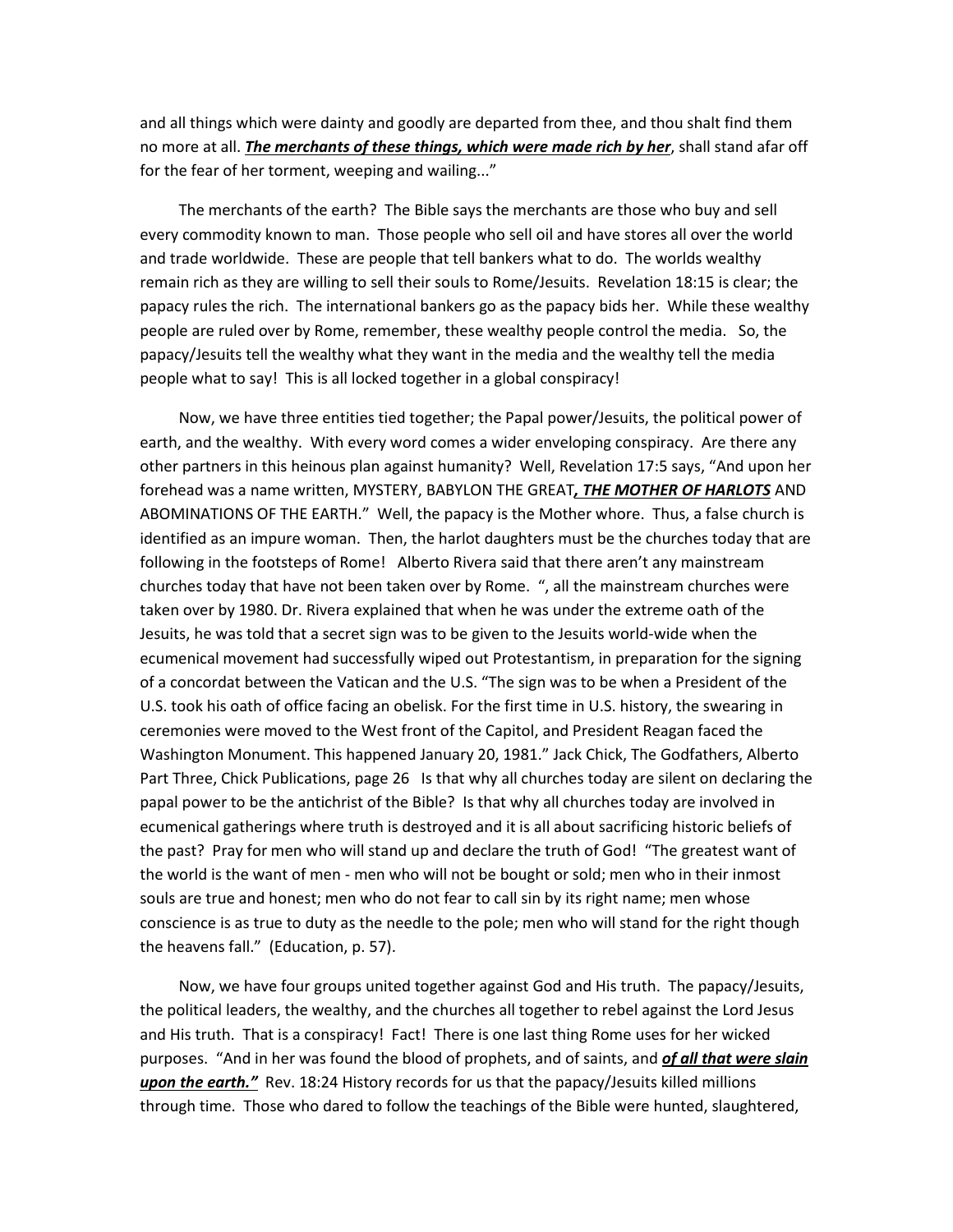and all things which were dainty and goodly are departed from thee, and thou shalt find them no more at all. *The merchants of these things, which were made rich by her*, shall stand afar off for the fear of her torment, weeping and wailing..."

 The merchants of the earth? The Bible says the merchants are those who buy and sell every commodity known to man. Those people who sell oil and have stores all over the world and trade worldwide. These are people that tell bankers what to do. The worlds wealthy remain rich as they are willing to sell their souls to Rome/Jesuits. Revelation 18:15 is clear; the papacy rules the rich. The international bankers go as the papacy bids her. While these wealthy people are ruled over by Rome, remember, these wealthy people control the media. So, the papacy/Jesuits tell the wealthy what they want in the media and the wealthy tell the media people what to say! This is all locked together in a global conspiracy!

 Now, we have three entities tied together; the Papal power/Jesuits, the political power of earth, and the wealthy. With every word comes a wider enveloping conspiracy. Are there any other partners in this heinous plan against humanity? Well, Revelation 17:5 says, "And upon her forehead was a name written, MYSTERY, BABYLON THE GREAT*, THE MOTHER OF HARLOTS* AND ABOMINATIONS OF THE EARTH." Well, the papacy is the Mother whore. Thus, a false church is identified as an impure woman. Then, the harlot daughters must be the churches today that are following in the footsteps of Rome! Alberto Rivera said that there aren't any mainstream churches today that have not been taken over by Rome. ", all the mainstream churches were taken over by 1980. Dr. Rivera explained that when he was under the extreme oath of the Jesuits, he was told that a secret sign was to be given to the Jesuits world-wide when the ecumenical movement had successfully wiped out Protestantism, in preparation for the signing of a concordat between the Vatican and the U.S. "The sign was to be when a President of the U.S. took his oath of office facing an obelisk. For the first time in U.S. history, the swearing in ceremonies were moved to the West front of the Capitol, and President Reagan faced the Washington Monument. This happened January 20, 1981." Jack Chick, The Godfathers, Alberto Part Three, Chick Publications, page 26 Is that why all churches today are silent on declaring the papal power to be the antichrist of the Bible? Is that why all churches today are involved in ecumenical gatherings where truth is destroyed and it is all about sacrificing historic beliefs of the past? Pray for men who will stand up and declare the truth of God! "The greatest want of the world is the want of men - men who will not be bought or sold; men who in their inmost souls are true and honest; men who do not fear to call sin by its right name; men whose conscience is as true to duty as the needle to the pole; men who will stand for the right though the heavens fall." (Education, p. 57).

 Now, we have four groups united together against God and His truth. The papacy/Jesuits, the political leaders, the wealthy, and the churches all together to rebel against the Lord Jesus and His truth. That is a conspiracy! Fact! There is one last thing Rome uses for her wicked purposes. "And in her was found the blood of prophets, and of saints, and *of all that were slain upon the earth."* Rev. 18:24 History records for us that the papacy/Jesuits killed millions through time. Those who dared to follow the teachings of the Bible were hunted, slaughtered,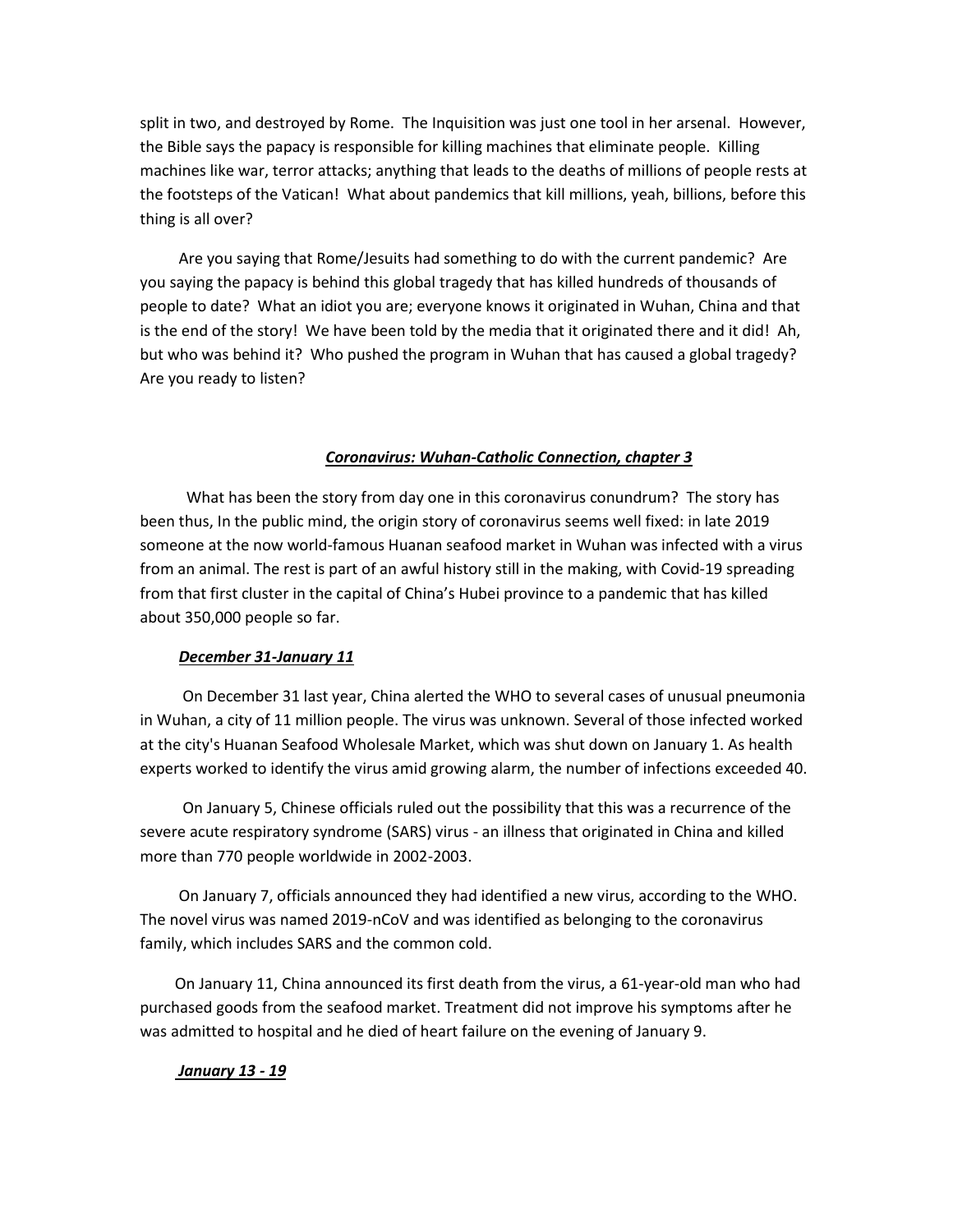split in two, and destroyed by Rome. The Inquisition was just one tool in her arsenal. However, the Bible says the papacy is responsible for killing machines that eliminate people. Killing machines like war, terror attacks; anything that leads to the deaths of millions of people rests at the footsteps of the Vatican! What about pandemics that kill millions, yeah, billions, before this thing is all over?

 Are you saying that Rome/Jesuits had something to do with the current pandemic? Are you saying the papacy is behind this global tragedy that has killed hundreds of thousands of people to date? What an idiot you are; everyone knows it originated in Wuhan, China and that is the end of the story! We have been told by the media that it originated there and it did! Ah, but who was behind it? Who pushed the program in Wuhan that has caused a global tragedy? Are you ready to listen?

## *Coronavirus: Wuhan-Catholic Connection, chapter 3*

 What has been the story from day one in this coronavirus conundrum? The story has been thus, In the public mind, the origin story of coronavirus seems well fixed: in late 2019 someone at the now world-famous Huanan seafood market in Wuhan was infected with a virus from an animal. The rest is part of an awful history still in the making, with Covid-19 spreading from that first cluster in the capital of China's Hubei province to a pandemic that has killed about 350,000 people so far.

## *December 31-January 11*

 On December 31 last year, China alerted the WHO to several cases of unusual pneumonia in Wuhan, a city of 11 million people. The virus was unknown. Several of those infected worked at the city's Huanan Seafood Wholesale Market, which was shut down on January 1. As health experts worked to identify the virus amid growing alarm, the number of infections exceeded 40.

 On January 5, Chinese officials ruled out the possibility that this was a recurrence of the severe acute respiratory syndrome (SARS) virus - an illness that originated in China and killed more than 770 people worldwide in 2002-2003.

 On January 7, officials announced they had identified a new virus, according to the WHO. The novel virus was named 2019-nCoV and was identified as belonging to the coronavirus family, which includes SARS and the common cold.

 On January 11, China announced its first death from the virus, a 61-year-old man who had purchased goods from the seafood market. Treatment did not improve his symptoms after he was admitted to hospital and he died of heart failure on the evening of January 9.

#### *January 13 - 19*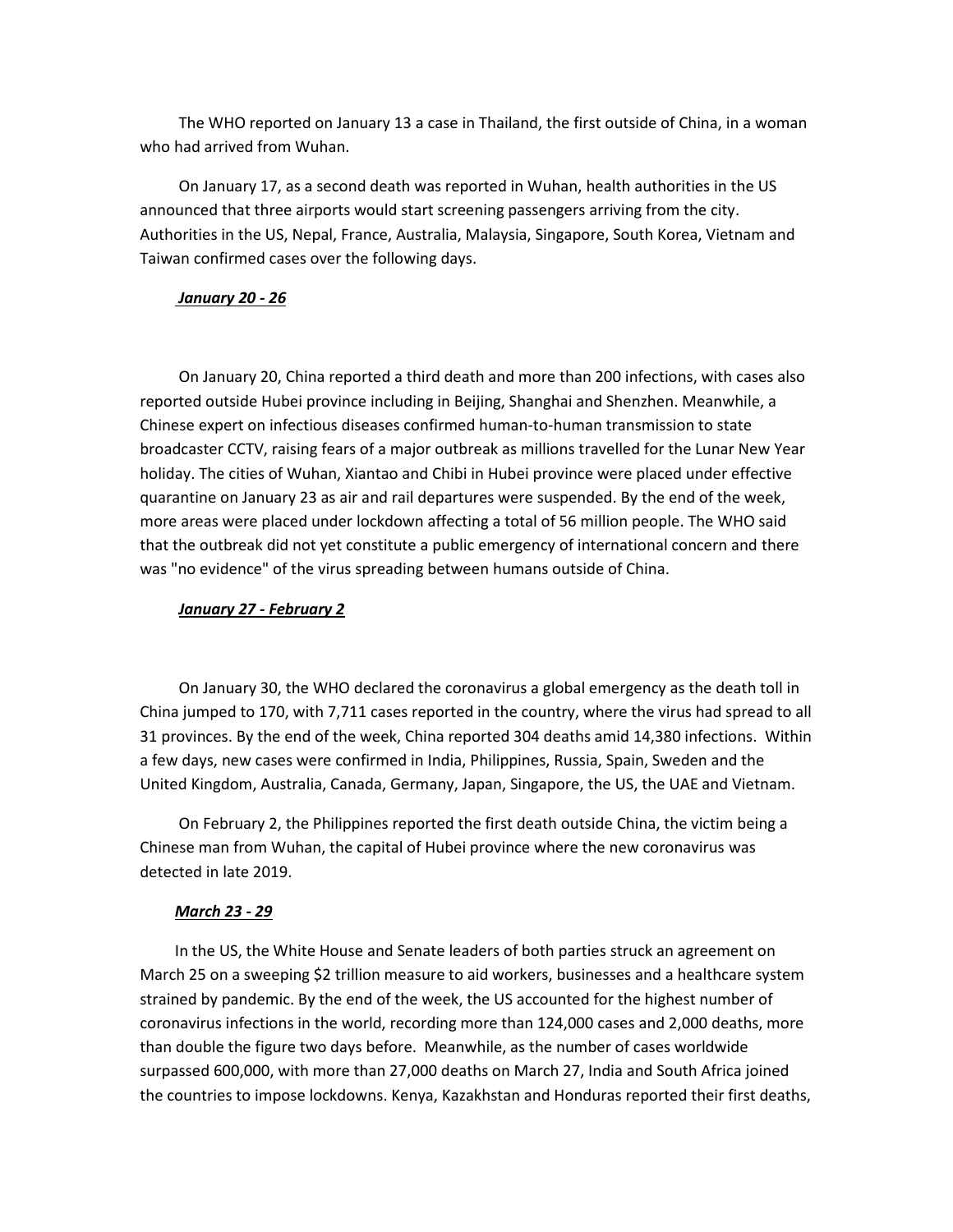The WHO reported on January 13 a case in Thailand, the first outside of China, in a woman who had arrived from Wuhan.

 On January 17, as a second death was reported in Wuhan, health authorities in the US announced that three airports would start screening passengers arriving from the city. Authorities in the US, Nepal, France, Australia, Malaysia, Singapore, South Korea, Vietnam and Taiwan confirmed cases over the following days.

## *January 20 - 26*

 On January 20, China reported a third death and more than 200 infections, with cases also reported outside Hubei province including in Beijing, Shanghai and Shenzhen. Meanwhile, a Chinese expert on infectious diseases confirmed human-to-human transmission to state broadcaster CCTV, raising fears of a major outbreak as millions travelled for the Lunar New Year holiday. The cities of Wuhan, Xiantao and Chibi in Hubei province were placed under effective quarantine on January 23 as air and rail departures were suspended. By the end of the week, more areas were placed under lockdown affecting a total of 56 million people. The WHO said that the outbreak did not yet constitute a public emergency of international concern and there was "no evidence" of the virus spreading between humans outside of China.

#### *January 27 - February 2*

 On January 30, the WHO declared the coronavirus a global emergency as the death toll in China jumped to 170, with 7,711 cases reported in the country, where the virus had spread to all 31 provinces. By the end of the week, China reported 304 deaths amid 14,380 infections. Within a few days, new cases were confirmed in India, Philippines, Russia, Spain, Sweden and the United Kingdom, Australia, Canada, Germany, Japan, Singapore, the US, the UAE and Vietnam.

 On February 2, the Philippines reported the first death outside China, the victim being a Chinese man from Wuhan, the capital of Hubei province where the new coronavirus was detected in late 2019.

#### *March 23 - 29*

 In the US, the White House and Senate leaders of both parties struck an agreement on March 25 on a sweeping \$2 trillion measure to aid workers, businesses and a healthcare system strained by pandemic. By the end of the week, the US accounted for the highest number of coronavirus infections in the world, recording more than 124,000 cases and 2,000 deaths, more than double the figure two days before. Meanwhile, as the number of cases worldwide surpassed 600,000, with more than 27,000 deaths on March 27, India and South Africa joined the countries to impose lockdowns. Kenya, Kazakhstan and Honduras reported their first deaths,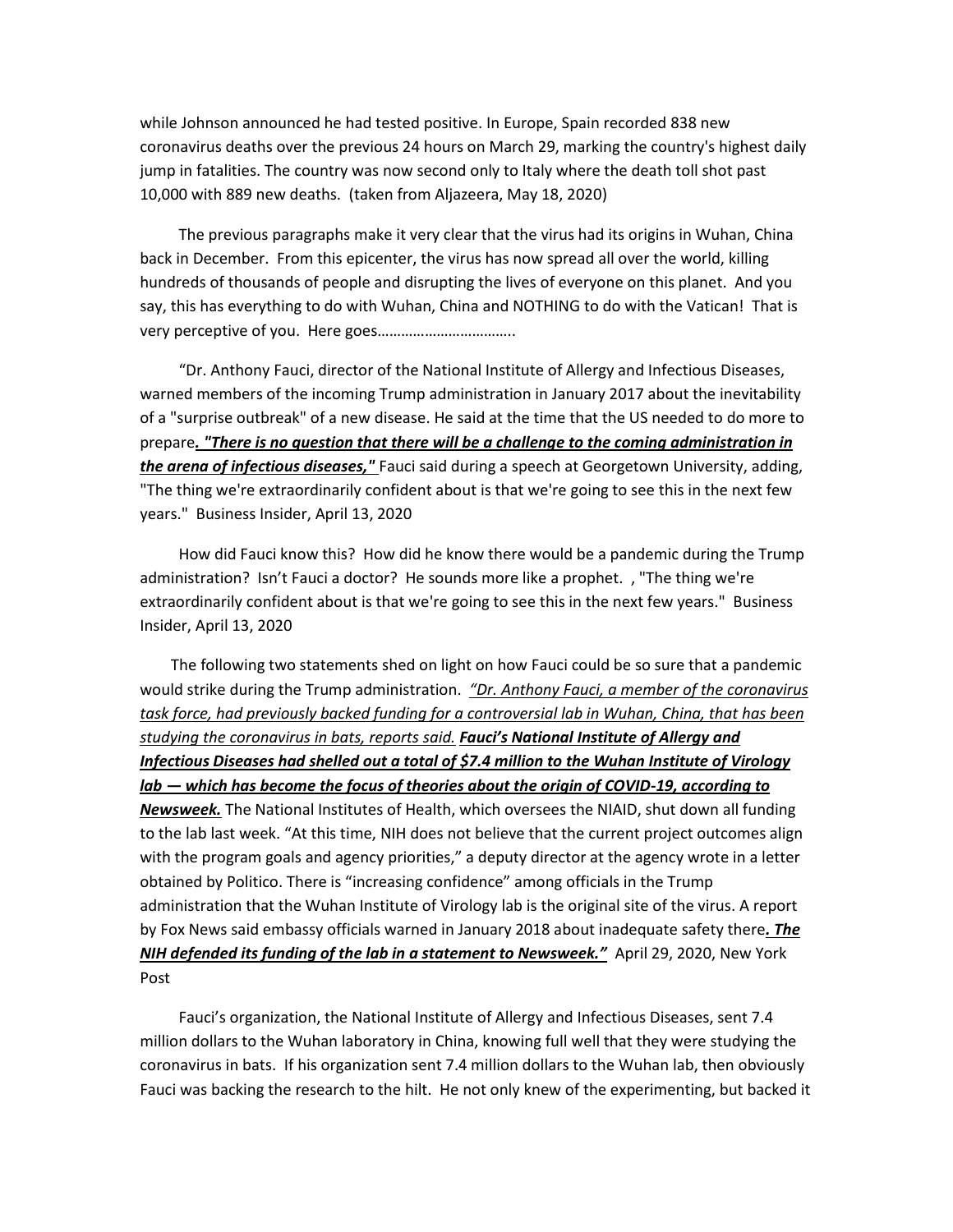while Johnson announced he had tested positive. In Europe, Spain recorded 838 new coronavirus deaths over the previous 24 hours on March 29, marking the country's highest daily jump in fatalities. The country was now second only to Italy where the death toll shot past 10,000 with 889 new deaths. (taken from Aljazeera, May 18, 2020)

 The previous paragraphs make it very clear that the virus had its origins in Wuhan, China back in December. From this epicenter, the virus has now spread all over the world, killing hundreds of thousands of people and disrupting the lives of everyone on this planet. And you say, this has everything to do with Wuhan, China and NOTHING to do with the Vatican! That is very perceptive of you. Here goes……………………………..

 "Dr. Anthony Fauci, director of the National Institute of Allergy and Infectious Diseases, warned members of the incoming Trump administration in January 2017 about the inevitability of a "surprise outbreak" of a new disease. He said at the time that the US needed to do more to prepare*. "There is no question that there will be a challenge to the coming administration in the arena of infectious diseases,"* Fauci said during a speech at Georgetown University, adding, "The thing we're extraordinarily confident about is that we're going to see this in the next few years." Business Insider, April 13, 2020

 How did Fauci know this? How did he know there would be a pandemic during the Trump administration? Isn't Fauci a doctor? He sounds more like a prophet. , "The thing we're extraordinarily confident about is that we're going to see this in the next few years." Business Insider, April 13, 2020

 The following two statements shed on light on how Fauci could be so sure that a pandemic would strike during the Trump administration. *"Dr. Anthony Fauci, a member of the coronavirus task force, had previously backed funding for a controversial lab in Wuhan, China, that has been studying the coronavirus in bats, reports said. Fauci's National Institute of Allergy and Infectious Diseases had shelled out a total of \$7.4 million to the Wuhan Institute of Virology lab — which has become the focus of theories about the origin of COVID-19, according to Newsweek.* The National Institutes of Health, which oversees the NIAID, shut down all funding to the lab last week. "At this time, NIH does not believe that the current project outcomes align with the program goals and agency priorities," a deputy director at the agency wrote in a letter obtained by Politico. There is "increasing confidence" among officials in the Trump administration that the Wuhan Institute of Virology lab is the original site of the virus. A report by Fox News said embassy officials warned in January 2018 about inadequate safety there*. The NIH defended its funding of the lab in a statement to Newsweek."* April 29, 2020, New York Post

 Fauci's organization, the National Institute of Allergy and Infectious Diseases, sent 7.4 million dollars to the Wuhan laboratory in China, knowing full well that they were studying the coronavirus in bats. If his organization sent 7.4 million dollars to the Wuhan lab, then obviously Fauci was backing the research to the hilt. He not only knew of the experimenting, but backed it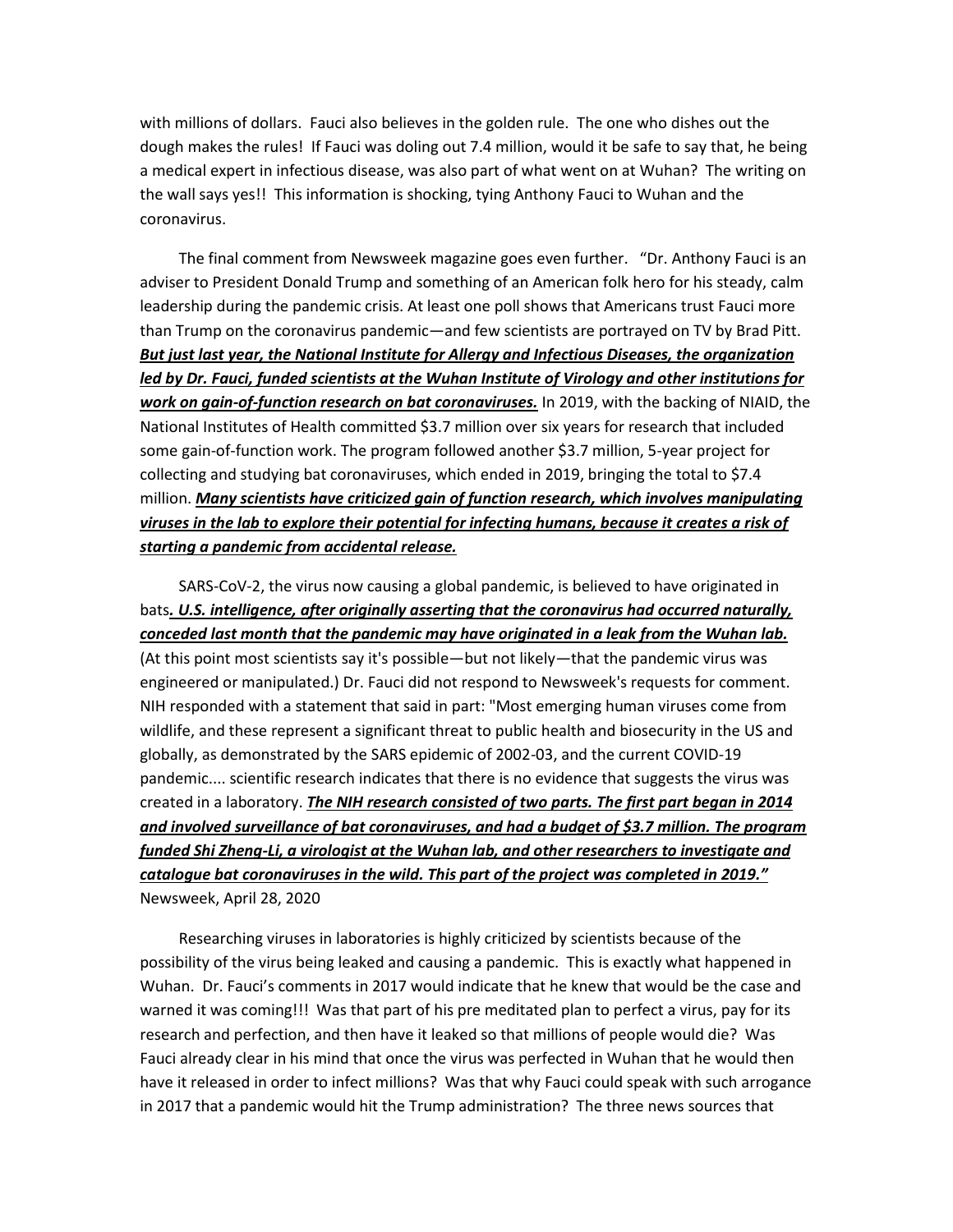with millions of dollars. Fauci also believes in the golden rule. The one who dishes out the dough makes the rules! If Fauci was doling out 7.4 million, would it be safe to say that, he being a medical expert in infectious disease, was also part of what went on at Wuhan? The writing on the wall says yes!! This information is shocking, tying Anthony Fauci to Wuhan and the coronavirus.

 The final comment from Newsweek magazine goes even further. "Dr. Anthony Fauci is an adviser to President Donald Trump and something of an American folk hero for his steady, calm leadership during the pandemic crisis. At least one poll shows that Americans trust Fauci more than Trump on the coronavirus pandemic—and few scientists are portrayed on TV by Brad Pitt. *But just last year, the National Institute for Allergy and Infectious Diseases, the organization led by Dr. Fauci, funded scientists at the Wuhan Institute of Virology and other institutions for work on gain-of-function research on bat coronaviruses.* In 2019, with the backing of NIAID, the National Institutes of Health committed \$3.7 million over six years for research that included some gain-of-function work. The program followed another \$3.7 million, 5-year project for collecting and studying bat coronaviruses, which ended in 2019, bringing the total to \$7.4 million. *Many scientists have criticized gain of function research, which involves manipulating viruses in the lab to explore their potential for infecting humans, because it creates a risk of starting a pandemic from accidental release.*

 SARS-CoV-2, the virus now causing a global pandemic, is believed to have originated in bats*. U.S. intelligence, after originally asserting that the coronavirus had occurred naturally, conceded last month that the pandemic may have originated in a leak from the Wuhan lab.* (At this point most scientists say it's possible—but not likely—that the pandemic virus was engineered or manipulated.) Dr. Fauci did not respond to Newsweek's requests for comment. NIH responded with a statement that said in part: "Most emerging human viruses come from wildlife, and these represent a significant threat to public health and biosecurity in the US and globally, as demonstrated by the SARS epidemic of 2002-03, and the current COVID-19 pandemic.... scientific research indicates that there is no evidence that suggests the virus was created in a laboratory. *The NIH research consisted of two parts. The first part began in 2014 and involved surveillance of bat coronaviruses, and had a budget of \$3.7 million. The program funded Shi Zheng-Li, a virologist at the Wuhan lab, and other researchers to investigate and catalogue bat coronaviruses in the wild. This part of the project was completed in 2019."* Newsweek, April 28, 2020

 Researching viruses in laboratories is highly criticized by scientists because of the possibility of the virus being leaked and causing a pandemic. This is exactly what happened in Wuhan. Dr. Fauci's comments in 2017 would indicate that he knew that would be the case and warned it was coming!!! Was that part of his pre meditated plan to perfect a virus, pay for its research and perfection, and then have it leaked so that millions of people would die? Was Fauci already clear in his mind that once the virus was perfected in Wuhan that he would then have it released in order to infect millions? Was that why Fauci could speak with such arrogance in 2017 that a pandemic would hit the Trump administration? The three news sources that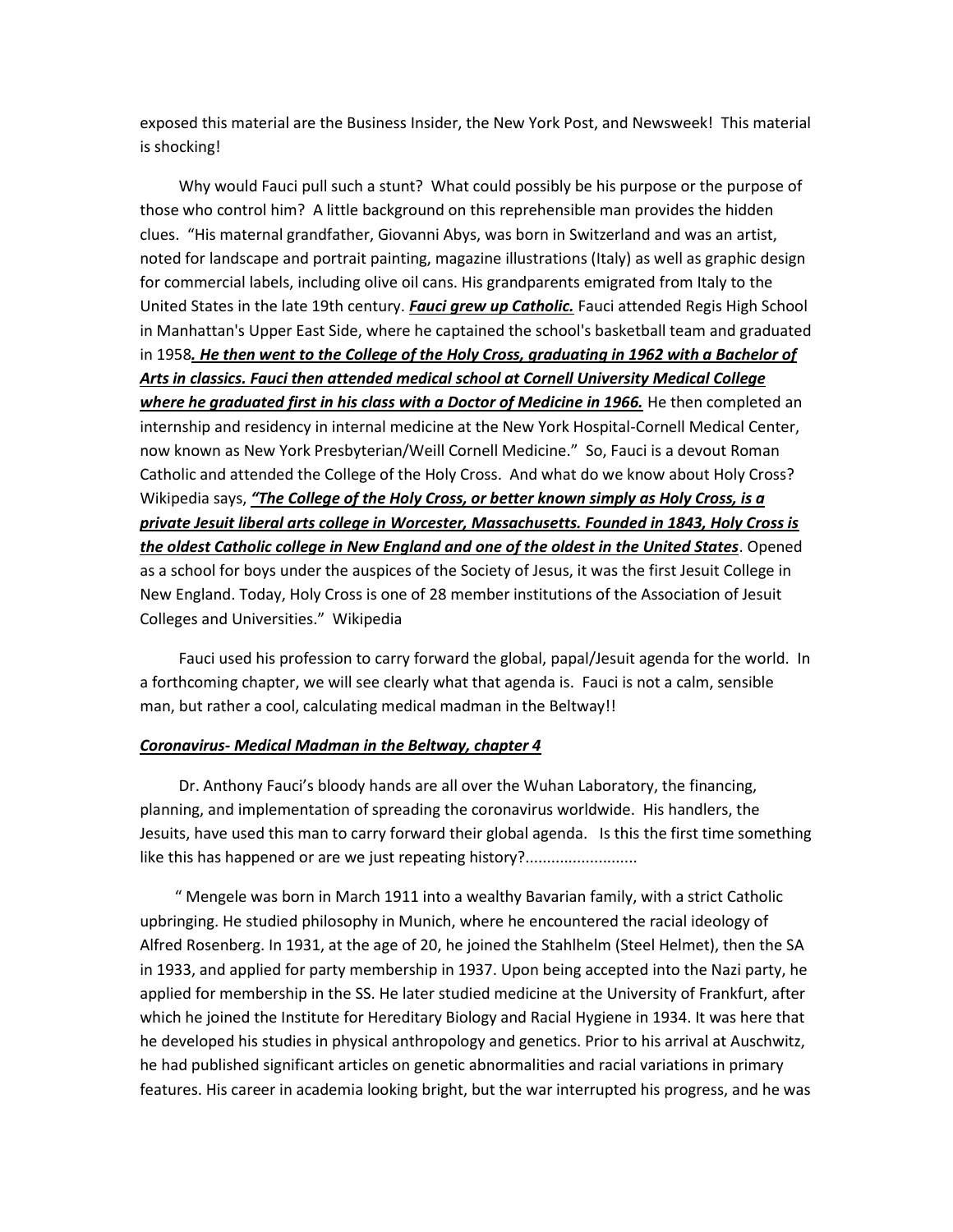exposed this material are the Business Insider, the New York Post, and Newsweek! This material is shocking!

 Why would Fauci pull such a stunt? What could possibly be his purpose or the purpose of those who control him? A little background on this reprehensible man provides the hidden clues. "His maternal grandfather, Giovanni Abys, was born in Switzerland and was an artist, noted for landscape and portrait painting, magazine illustrations (Italy) as well as graphic design for commercial labels, including olive oil cans. His grandparents emigrated from Italy to the United States in the late 19th century. *Fauci grew up Catholic.* Fauci attended Regis High School in Manhattan's Upper East Side, where he captained the school's basketball team and graduated in 1958*. He then went to the College of the Holy Cross, graduating in 1962 with a Bachelor of Arts in classics. Fauci then attended medical school at Cornell University Medical College where he graduated first in his class with a Doctor of Medicine in 1966.* He then completed an internship and residency in internal medicine at the New York Hospital-Cornell Medical Center, now known as New York Presbyterian/Weill Cornell Medicine." So, Fauci is a devout Roman Catholic and attended the College of the Holy Cross. And what do we know about Holy Cross? Wikipedia says, *"The College of the Holy Cross, or better known simply as Holy Cross, is a private Jesuit liberal arts college in Worcester, Massachusetts. Founded in 1843, Holy Cross is the oldest Catholic college in New England and one of the oldest in the United States*. Opened as a school for boys under the auspices of the Society of Jesus, it was the first Jesuit College in New England. Today, Holy Cross is one of 28 member institutions of the Association of Jesuit Colleges and Universities." Wikipedia

 Fauci used his profession to carry forward the global, papal/Jesuit agenda for the world. In a forthcoming chapter, we will see clearly what that agenda is. Fauci is not a calm, sensible man, but rather a cool, calculating medical madman in the Beltway!!

#### *Coronavirus- Medical Madman in the Beltway, chapter 4*

 Dr. Anthony Fauci's bloody hands are all over the Wuhan Laboratory, the financing, planning, and implementation of spreading the coronavirus worldwide. His handlers, the Jesuits, have used this man to carry forward their global agenda. Is this the first time something like this has happened or are we just repeating history?..........................

 " Mengele was born in March 1911 into a wealthy Bavarian family, with a strict Catholic upbringing. He studied philosophy in Munich, where he encountered the racial ideology of Alfred Rosenberg. In 1931, at the age of 20, he joined the Stahlhelm (Steel Helmet), then the SA in 1933, and applied for party membership in 1937. Upon being accepted into the Nazi party, he applied for membership in the SS. He later studied medicine at the University of Frankfurt, after which he joined the Institute for Hereditary Biology and Racial Hygiene in 1934. It was here that he developed his studies in physical anthropology and genetics. Prior to his arrival at Auschwitz, he had published significant articles on genetic abnormalities and racial variations in primary features. His career in academia looking bright, but the war interrupted his progress, and he was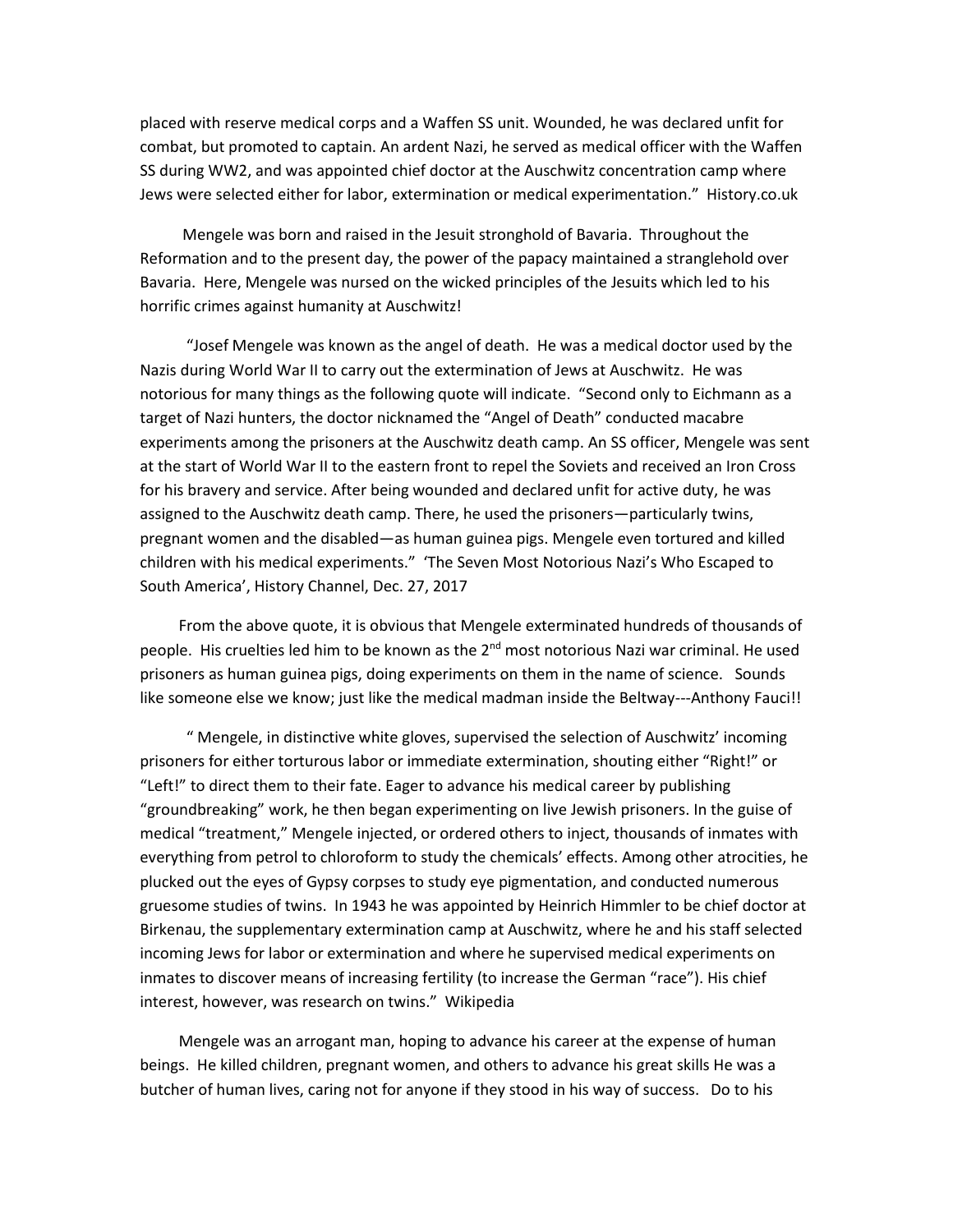placed with reserve medical corps and a Waffen SS unit. Wounded, he was declared unfit for combat, but promoted to captain. An ardent Nazi, he served as medical officer with the Waffen SS during WW2, and was appointed chief doctor at the Auschwitz concentration camp where Jews were selected either for labor, extermination or medical experimentation." History.co.uk

 Mengele was born and raised in the Jesuit stronghold of Bavaria. Throughout the Reformation and to the present day, the power of the papacy maintained a stranglehold over Bavaria. Here, Mengele was nursed on the wicked principles of the Jesuits which led to his horrific crimes against humanity at Auschwitz!

 "Josef Mengele was known as the angel of death. He was a medical doctor used by the Nazis during World War II to carry out the extermination of Jews at Auschwitz. He was notorious for many things as the following quote will indicate. "Second only to Eichmann as a target of Nazi hunters, the doctor nicknamed the "Angel of Death" conducted macabre experiments among the prisoners at the Auschwitz death camp. An SS officer, Mengele was sent at the start of World War II to the eastern front to repel the Soviets and received an Iron Cross for his bravery and service. After being wounded and declared unfit for active duty, he was assigned to the Auschwitz death camp. There, he used the prisoners—particularly twins, pregnant women and the disabled—as human guinea pigs. Mengele even tortured and killed children with his medical experiments." 'The Seven Most Notorious Nazi's Who Escaped to South America', History Channel, Dec. 27, 2017

 From the above quote, it is obvious that Mengele exterminated hundreds of thousands of people. His cruelties led him to be known as the 2<sup>nd</sup> most notorious Nazi war criminal. He used prisoners as human guinea pigs, doing experiments on them in the name of science. Sounds like someone else we know; just like the medical madman inside the Beltway---Anthony Fauci!!

 " Mengele, in distinctive white gloves, supervised the selection of Auschwitz' incoming prisoners for either torturous labor or immediate extermination, shouting either "Right!" or "Left!" to direct them to their fate. Eager to advance his medical career by publishing "groundbreaking" work, he then began experimenting on live Jewish prisoners. In the guise of medical "treatment," Mengele injected, or ordered others to inject, thousands of inmates with everything from petrol to chloroform to study the chemicals' effects. Among other atrocities, he plucked out the eyes of Gypsy corpses to study eye pigmentation, and conducted numerous gruesome studies of twins. In 1943 he was appointed by Heinrich Himmler to be chief doctor at Birkenau, the supplementary extermination camp at Auschwitz, where he and his staff selected incoming Jews for labor or extermination and where he supervised medical experiments on inmates to discover means of increasing fertility (to increase the German "race"). His chief interest, however, was research on twins." Wikipedia

 Mengele was an arrogant man, hoping to advance his career at the expense of human beings. He killed children, pregnant women, and others to advance his great skills He was a butcher of human lives, caring not for anyone if they stood in his way of success. Do to his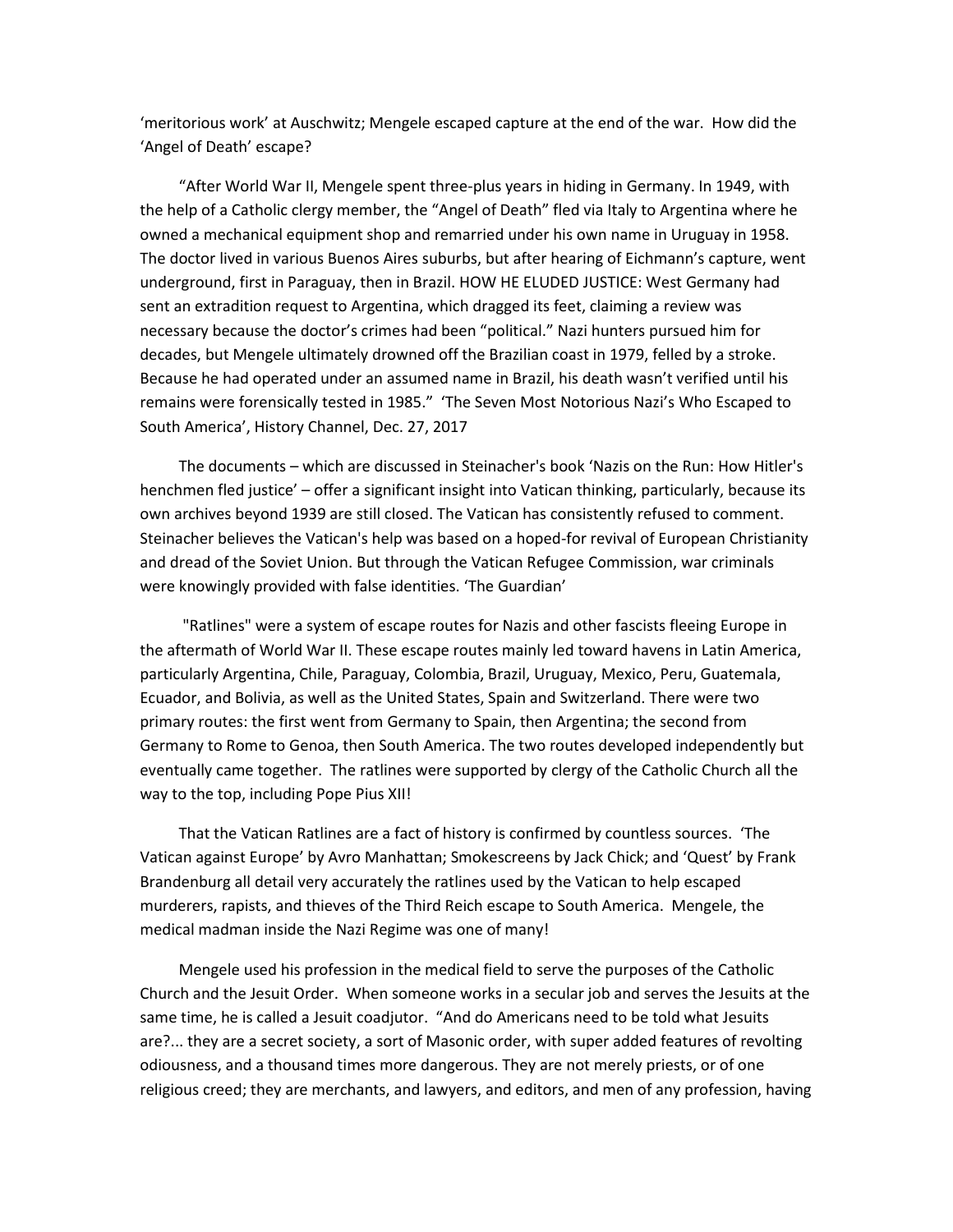'meritorious work' at Auschwitz; Mengele escaped capture at the end of the war. How did the 'Angel of Death' escape?

 "After World War II, Mengele spent three-plus years in hiding in Germany. In 1949, with the help of a Catholic clergy member, the "Angel of Death" fled via Italy to Argentina where he owned a mechanical equipment shop and remarried under his own name in Uruguay in 1958. The doctor lived in various Buenos Aires suburbs, but after hearing of Eichmann's capture, went underground, first in Paraguay, then in Brazil. HOW HE ELUDED JUSTICE: West Germany had sent an extradition request to Argentina, which dragged its feet, claiming a review was necessary because the doctor's crimes had been "political." Nazi hunters pursued him for decades, but Mengele ultimately drowned off the Brazilian coast in 1979, felled by a stroke. Because he had operated under an assumed name in Brazil, his death wasn't verified until his remains were forensically tested in 1985." 'The Seven Most Notorious Nazi's Who Escaped to South America', History Channel, Dec. 27, 2017

 The documents – which are discussed in Steinacher's book 'Nazis on the Run: How Hitler's henchmen fled justice' – offer a significant insight into Vatican thinking, particularly, because its own archives beyond 1939 are still closed. The Vatican has consistently refused to comment. Steinacher believes the Vatican's help was based on a hoped-for revival of European Christianity and dread of the Soviet Union. But through the Vatican Refugee Commission, war criminals were knowingly provided with false identities. 'The Guardian'

 "Ratlines" were a system of escape routes for Nazis and other fascists fleeing Europe in the aftermath of World War II. These escape routes mainly led toward havens in Latin America, particularly Argentina, Chile, Paraguay, Colombia, Brazil, Uruguay, Mexico, Peru, Guatemala, Ecuador, and Bolivia, as well as the United States, Spain and Switzerland. There were two primary routes: the first went from Germany to Spain, then Argentina; the second from Germany to Rome to Genoa, then South America. The two routes developed independently but eventually came together. The ratlines were supported by clergy of the Catholic Church all the way to the top, including Pope Pius XII!

 That the Vatican Ratlines are a fact of history is confirmed by countless sources. 'The Vatican against Europe' by Avro Manhattan; Smokescreens by Jack Chick; and 'Quest' by Frank Brandenburg all detail very accurately the ratlines used by the Vatican to help escaped murderers, rapists, and thieves of the Third Reich escape to South America. Mengele, the medical madman inside the Nazi Regime was one of many!

 Mengele used his profession in the medical field to serve the purposes of the Catholic Church and the Jesuit Order. When someone works in a secular job and serves the Jesuits at the same time, he is called a Jesuit coadjutor. "And do Americans need to be told what Jesuits are?... they are a secret society, a sort of Masonic order, with super added features of revolting odiousness, and a thousand times more dangerous. They are not merely priests, or of one religious creed; they are merchants, and lawyers, and editors, and men of any profession, having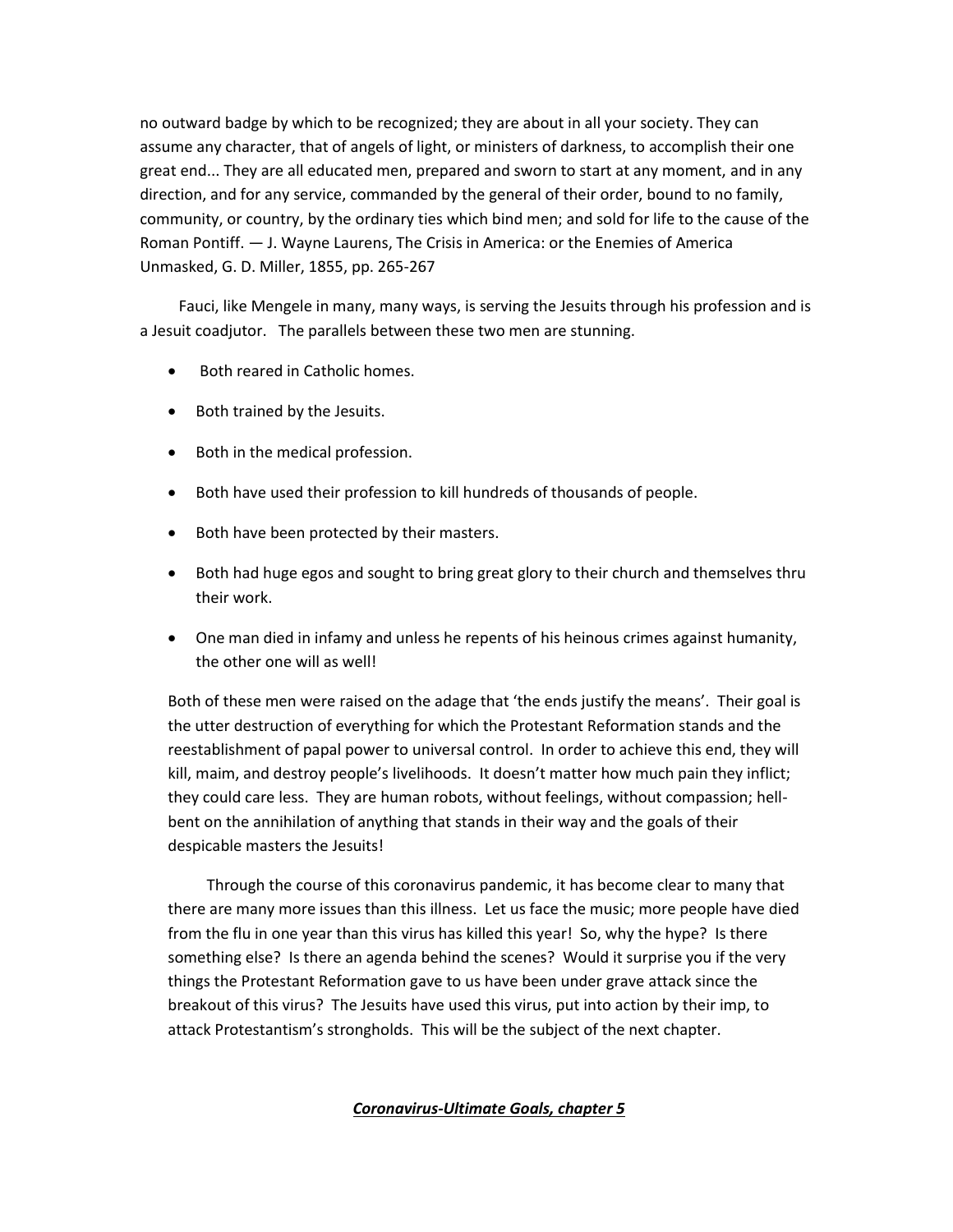no outward badge by which to be recognized; they are about in all your society. They can assume any character, that of angels of light, or ministers of darkness, to accomplish their one great end... They are all educated men, prepared and sworn to start at any moment, and in any direction, and for any service, commanded by the general of their order, bound to no family, community, or country, by the ordinary ties which bind men; and sold for life to the cause of the Roman Pontiff. — J. Wayne Laurens, The Crisis in America: or the Enemies of America Unmasked, G. D. Miller, 1855, pp. 265-267

 Fauci, like Mengele in many, many ways, is serving the Jesuits through his profession and is a Jesuit coadjutor. The parallels between these two men are stunning.

- Both reared in Catholic homes.
- Both trained by the Jesuits.
- Both in the medical profession.
- Both have used their profession to kill hundreds of thousands of people.
- Both have been protected by their masters.
- Both had huge egos and sought to bring great glory to their church and themselves thru their work.
- One man died in infamy and unless he repents of his heinous crimes against humanity, the other one will as well!

Both of these men were raised on the adage that 'the ends justify the means'. Their goal is the utter destruction of everything for which the Protestant Reformation stands and the reestablishment of papal power to universal control. In order to achieve this end, they will kill, maim, and destroy people's livelihoods. It doesn't matter how much pain they inflict; they could care less. They are human robots, without feelings, without compassion; hellbent on the annihilation of anything that stands in their way and the goals of their despicable masters the Jesuits!

 Through the course of this coronavirus pandemic, it has become clear to many that there are many more issues than this illness. Let us face the music; more people have died from the flu in one year than this virus has killed this year! So, why the hype? Is there something else? Is there an agenda behind the scenes? Would it surprise you if the very things the Protestant Reformation gave to us have been under grave attack since the breakout of this virus? The Jesuits have used this virus, put into action by their imp, to attack Protestantism's strongholds. This will be the subject of the next chapter.

## *Coronavirus-Ultimate Goals, chapter 5*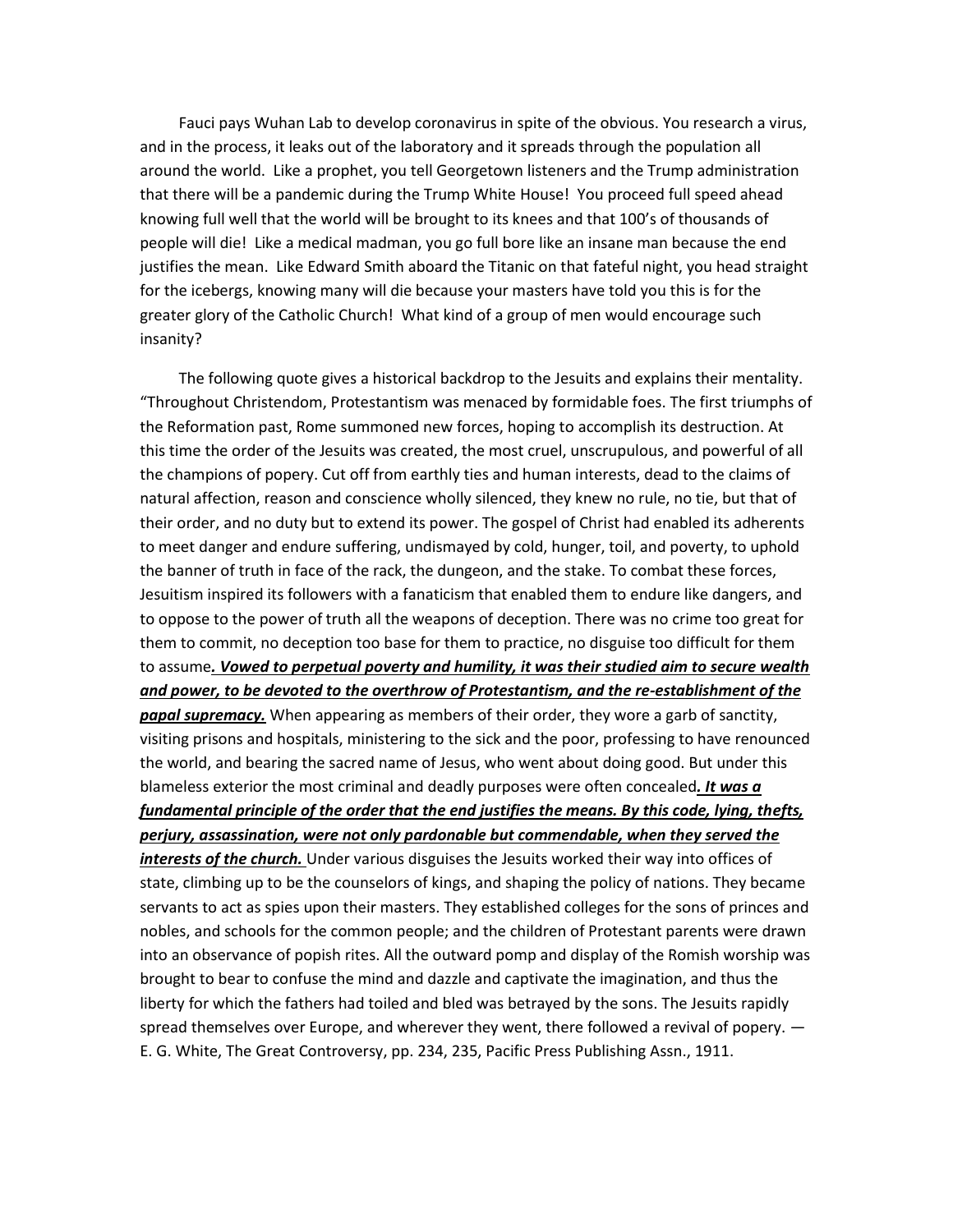Fauci pays Wuhan Lab to develop coronavirus in spite of the obvious. You research a virus, and in the process, it leaks out of the laboratory and it spreads through the population all around the world. Like a prophet, you tell Georgetown listeners and the Trump administration that there will be a pandemic during the Trump White House! You proceed full speed ahead knowing full well that the world will be brought to its knees and that 100's of thousands of people will die! Like a medical madman, you go full bore like an insane man because the end justifies the mean. Like Edward Smith aboard the Titanic on that fateful night, you head straight for the icebergs, knowing many will die because your masters have told you this is for the greater glory of the Catholic Church! What kind of a group of men would encourage such insanity?

 The following quote gives a historical backdrop to the Jesuits and explains their mentality. "Throughout Christendom, Protestantism was menaced by formidable foes. The first triumphs of the Reformation past, Rome summoned new forces, hoping to accomplish its destruction. At this time the order of the Jesuits was created, the most cruel, unscrupulous, and powerful of all the champions of popery. Cut off from earthly ties and human interests, dead to the claims of natural affection, reason and conscience wholly silenced, they knew no rule, no tie, but that of their order, and no duty but to extend its power. The gospel of Christ had enabled its adherents to meet danger and endure suffering, undismayed by cold, hunger, toil, and poverty, to uphold the banner of truth in face of the rack, the dungeon, and the stake. To combat these forces, Jesuitism inspired its followers with a fanaticism that enabled them to endure like dangers, and to oppose to the power of truth all the weapons of deception. There was no crime too great for them to commit, no deception too base for them to practice, no disguise too difficult for them to assume*. Vowed to perpetual poverty and humility, it was their studied aim to secure wealth and power, to be devoted to the overthrow of Protestantism, and the re-establishment of the papal supremacy.* When appearing as members of their order, they wore a garb of sanctity, visiting prisons and hospitals, ministering to the sick and the poor, professing to have renounced the world, and bearing the sacred name of Jesus, who went about doing good. But under this blameless exterior the most criminal and deadly purposes were often concealed*. It was a fundamental principle of the order that the end justifies the means. By this code, lying, thefts, perjury, assassination, were not only pardonable but commendable, when they served the interests of the church.* Under various disguises the Jesuits worked their way into offices of state, climbing up to be the counselors of kings, and shaping the policy of nations. They became servants to act as spies upon their masters. They established colleges for the sons of princes and nobles, and schools for the common people; and the children of Protestant parents were drawn into an observance of popish rites. All the outward pomp and display of the Romish worship was brought to bear to confuse the mind and dazzle and captivate the imagination, and thus the liberty for which the fathers had toiled and bled was betrayed by the sons. The Jesuits rapidly spread themselves over Europe, and wherever they went, there followed a revival of popery.  $-$ E. G. White, The Great Controversy, pp. 234, 235, Pacific Press Publishing Assn., 1911.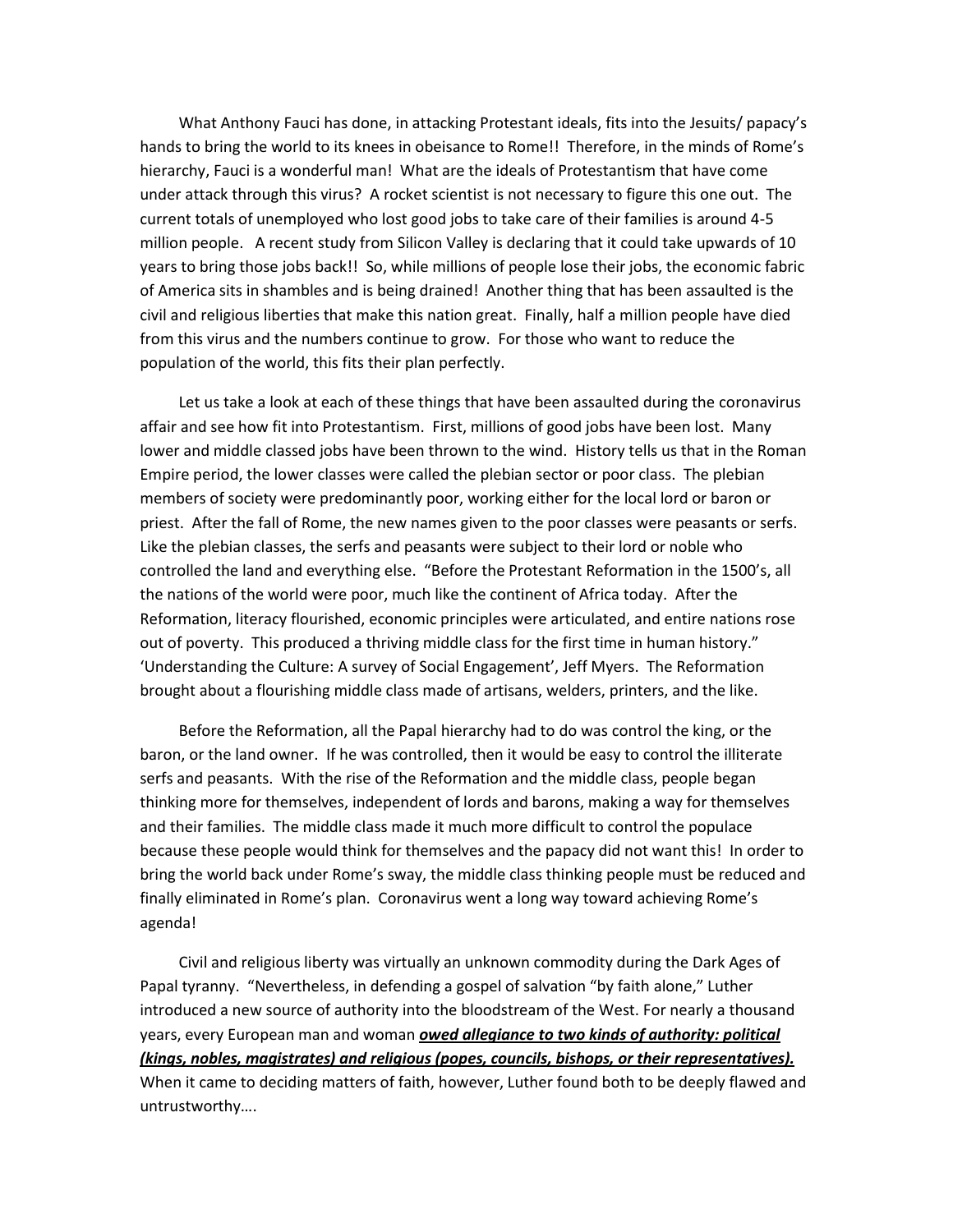What Anthony Fauci has done, in attacking Protestant ideals, fits into the Jesuits/ papacy's hands to bring the world to its knees in obeisance to Rome!! Therefore, in the minds of Rome's hierarchy, Fauci is a wonderful man! What are the ideals of Protestantism that have come under attack through this virus? A rocket scientist is not necessary to figure this one out. The current totals of unemployed who lost good jobs to take care of their families is around 4-5 million people. A recent study from Silicon Valley is declaring that it could take upwards of 10 years to bring those jobs back!! So, while millions of people lose their jobs, the economic fabric of America sits in shambles and is being drained! Another thing that has been assaulted is the civil and religious liberties that make this nation great. Finally, half a million people have died from this virus and the numbers continue to grow. For those who want to reduce the population of the world, this fits their plan perfectly.

 Let us take a look at each of these things that have been assaulted during the coronavirus affair and see how fit into Protestantism. First, millions of good jobs have been lost. Many lower and middle classed jobs have been thrown to the wind. History tells us that in the Roman Empire period, the lower classes were called the plebian sector or poor class. The plebian members of society were predominantly poor, working either for the local lord or baron or priest. After the fall of Rome, the new names given to the poor classes were peasants or serfs. Like the plebian classes, the serfs and peasants were subject to their lord or noble who controlled the land and everything else. "Before the Protestant Reformation in the 1500's, all the nations of the world were poor, much like the continent of Africa today. After the Reformation, literacy flourished, economic principles were articulated, and entire nations rose out of poverty. This produced a thriving middle class for the first time in human history." 'Understanding the Culture: A survey of Social Engagement', Jeff Myers. The Reformation brought about a flourishing middle class made of artisans, welders, printers, and the like.

 Before the Reformation, all the Papal hierarchy had to do was control the king, or the baron, or the land owner. If he was controlled, then it would be easy to control the illiterate serfs and peasants. With the rise of the Reformation and the middle class, people began thinking more for themselves, independent of lords and barons, making a way for themselves and their families. The middle class made it much more difficult to control the populace because these people would think for themselves and the papacy did not want this! In order to bring the world back under Rome's sway, the middle class thinking people must be reduced and finally eliminated in Rome's plan. Coronavirus went a long way toward achieving Rome's agenda!

 Civil and religious liberty was virtually an unknown commodity during the Dark Ages of Papal tyranny. "Nevertheless, in defending a gospel of salvation "by faith alone," Luther introduced a new source of authority into the bloodstream of the West. For nearly a thousand years, every European man and woman *owed allegiance to two kinds of authority: political (kings, nobles, magistrates) and religious (popes, councils, bishops, or their representatives).*  When it came to deciding matters of faith, however, Luther found both to be deeply flawed and untrustworthy….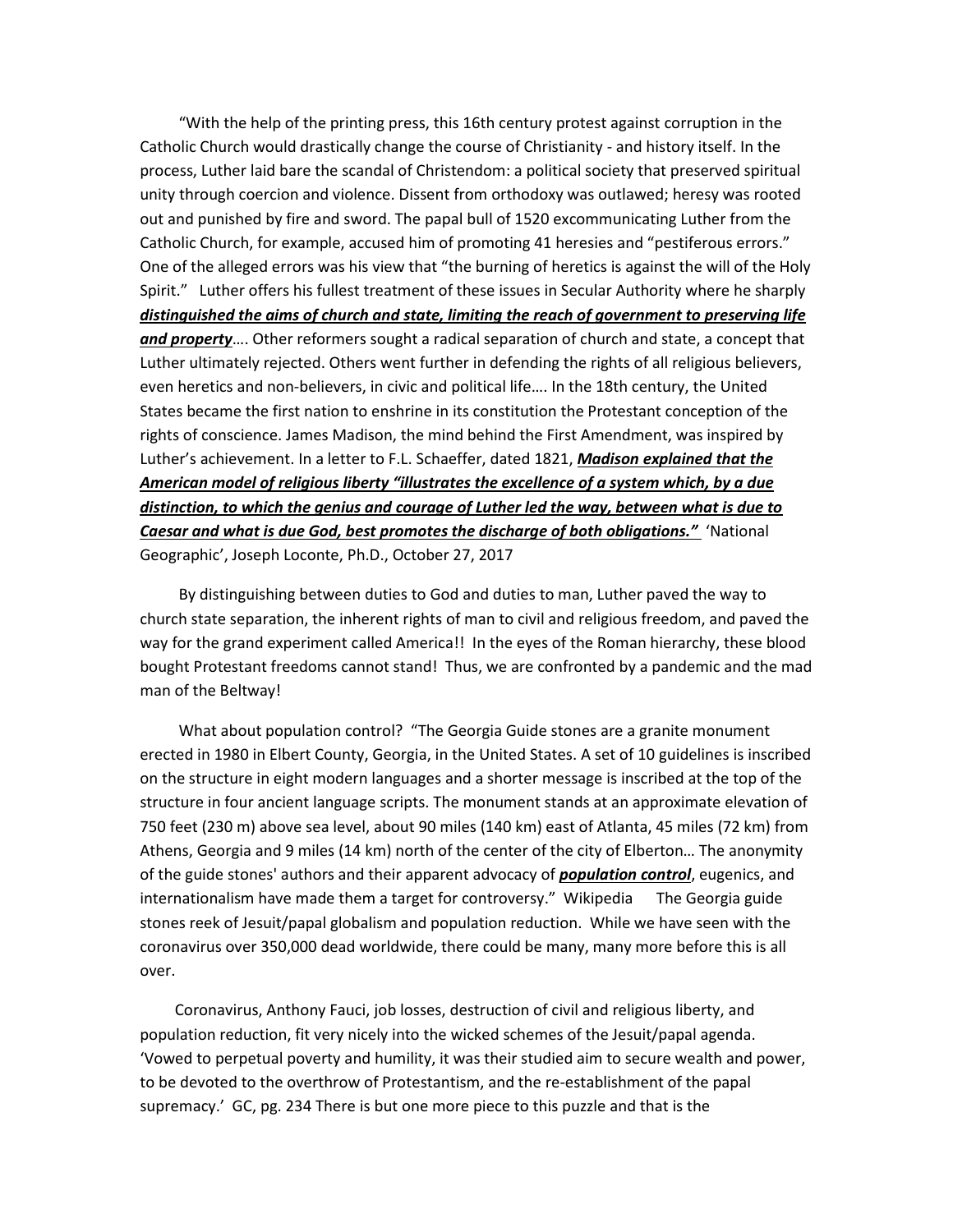"With the help of the printing press, this 16th century protest against corruption in the Catholic Church would drastically change the course of Christianity - and history itself. In the process, Luther laid bare the scandal of Christendom: a political society that preserved spiritual unity through coercion and violence. Dissent from orthodoxy was outlawed; heresy was rooted out and punished by fire and sword. The papal bull of 1520 excommunicating Luther from the Catholic Church, for example, accused him of promoting 41 heresies and "pestiferous errors." One of the alleged errors was his view that "the burning of heretics is against the will of the Holy Spirit." Luther offers his fullest treatment of these issues in Secular Authority where he sharply *distinguished the aims of church and state, limiting the reach of government to preserving life and property*…. Other reformers sought a radical separation of church and state, a concept that Luther ultimately rejected. Others went further in defending the rights of all religious believers, even heretics and non-believers, in civic and political life…. In the 18th century, the United States became the first nation to enshrine in its constitution the Protestant conception of the rights of conscience. James Madison, the mind behind the First Amendment, was inspired by Luther's achievement. In a letter to F.L. Schaeffer, dated 1821, *Madison explained that the American model of religious liberty "illustrates the excellence of a system which, by a due distinction, to which the genius and courage of Luther led the way, between what is due to Caesar and what is due God, best promotes the discharge of both obligations."* 'National Geographic', Joseph Loconte, Ph.D., October 27, 2017

 By distinguishing between duties to God and duties to man, Luther paved the way to church state separation, the inherent rights of man to civil and religious freedom, and paved the way for the grand experiment called America!! In the eyes of the Roman hierarchy, these blood bought Protestant freedoms cannot stand! Thus, we are confronted by a pandemic and the mad man of the Beltway!

 What about population control? "The Georgia Guide stones are a granite monument erected in 1980 in Elbert County, Georgia, in the United States. A set of 10 guidelines is inscribed on the structure in eight modern languages and a shorter message is inscribed at the top of the structure in four ancient language scripts. The monument stands at an approximate elevation of 750 feet (230 m) above sea level, about 90 miles (140 km) east of Atlanta, 45 miles (72 km) from Athens, Georgia and 9 miles (14 km) north of the center of the city of Elberton… The anonymity of the guide stones' authors and their apparent advocacy of *population control*, eugenics, and internationalism have made them a target for controversy." Wikipedia The Georgia guide stones reek of Jesuit/papal globalism and population reduction. While we have seen with the coronavirus over 350,000 dead worldwide, there could be many, many more before this is all over.

 Coronavirus, Anthony Fauci, job losses, destruction of civil and religious liberty, and population reduction, fit very nicely into the wicked schemes of the Jesuit/papal agenda. 'Vowed to perpetual poverty and humility, it was their studied aim to secure wealth and power, to be devoted to the overthrow of Protestantism, and the re-establishment of the papal supremacy.' GC, pg. 234 There is but one more piece to this puzzle and that is the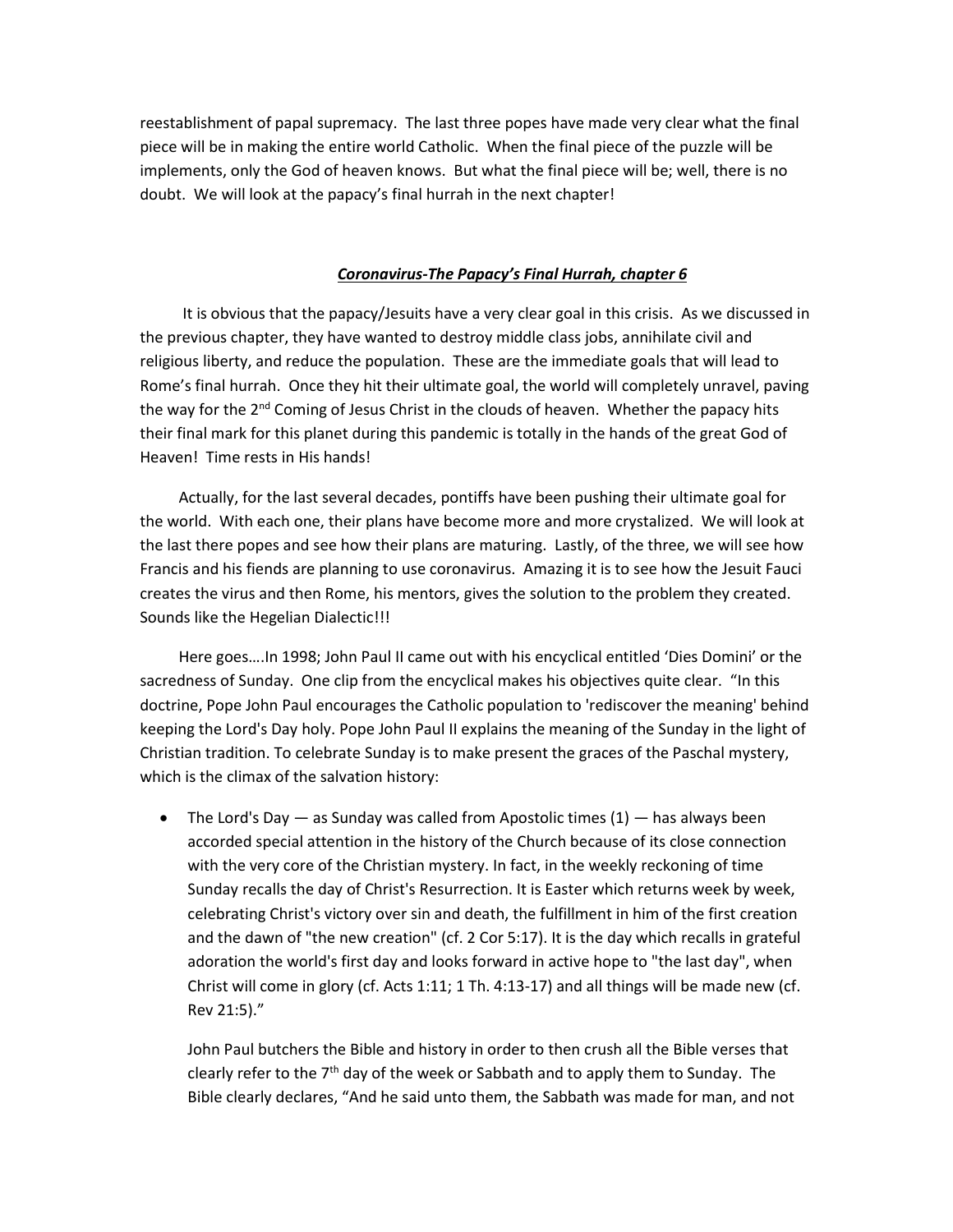reestablishment of papal supremacy. The last three popes have made very clear what the final piece will be in making the entire world Catholic. When the final piece of the puzzle will be implements, only the God of heaven knows. But what the final piece will be; well, there is no doubt. We will look at the papacy's final hurrah in the next chapter!

## *Coronavirus-The Papacy's Final Hurrah, chapter 6*

 It is obvious that the papacy/Jesuits have a very clear goal in this crisis. As we discussed in the previous chapter, they have wanted to destroy middle class jobs, annihilate civil and religious liberty, and reduce the population. These are the immediate goals that will lead to Rome's final hurrah. Once they hit their ultimate goal, the world will completely unravel, paving the way for the 2<sup>nd</sup> Coming of Jesus Christ in the clouds of heaven. Whether the papacy hits their final mark for this planet during this pandemic is totally in the hands of the great God of Heaven! Time rests in His hands!

 Actually, for the last several decades, pontiffs have been pushing their ultimate goal for the world. With each one, their plans have become more and more crystalized. We will look at the last there popes and see how their plans are maturing. Lastly, of the three, we will see how Francis and his fiends are planning to use coronavirus. Amazing it is to see how the Jesuit Fauci creates the virus and then Rome, his mentors, gives the solution to the problem they created. Sounds like the Hegelian Dialectic!!!

 Here goes….In 1998; John Paul II came out with his encyclical entitled 'Dies Domini' or the sacredness of Sunday. One clip from the encyclical makes his objectives quite clear. "In this doctrine, Pope John Paul encourages the Catholic population to 'rediscover the meaning' behind keeping the Lord's Day holy. Pope John Paul II explains the meaning of the Sunday in the light of Christian tradition. To celebrate Sunday is to make present the graces of the Paschal mystery, which is the climax of the salvation history:

• The Lord's Day  $-$  as Sunday was called from Apostolic times (1)  $-$  has always been accorded special attention in the history of the Church because of its close connection with the very core of the Christian mystery. In fact, in the weekly reckoning of time Sunday recalls the day of Christ's Resurrection. It is Easter which returns week by week, celebrating Christ's victory over sin and death, the fulfillment in him of the first creation and the dawn of "the new creation" (cf. 2 Cor 5:17). It is the day which recalls in grateful adoration the world's first day and looks forward in active hope to "the last day", when Christ will come in glory (cf. Acts 1:11; 1 Th. 4:13-17) and all things will be made new (cf. Rev 21:5)."

John Paul butchers the Bible and history in order to then crush all the Bible verses that clearly refer to the  $7<sup>th</sup>$  day of the week or Sabbath and to apply them to Sunday. The Bible clearly declares, "And he said unto them, the Sabbath was made for man, and not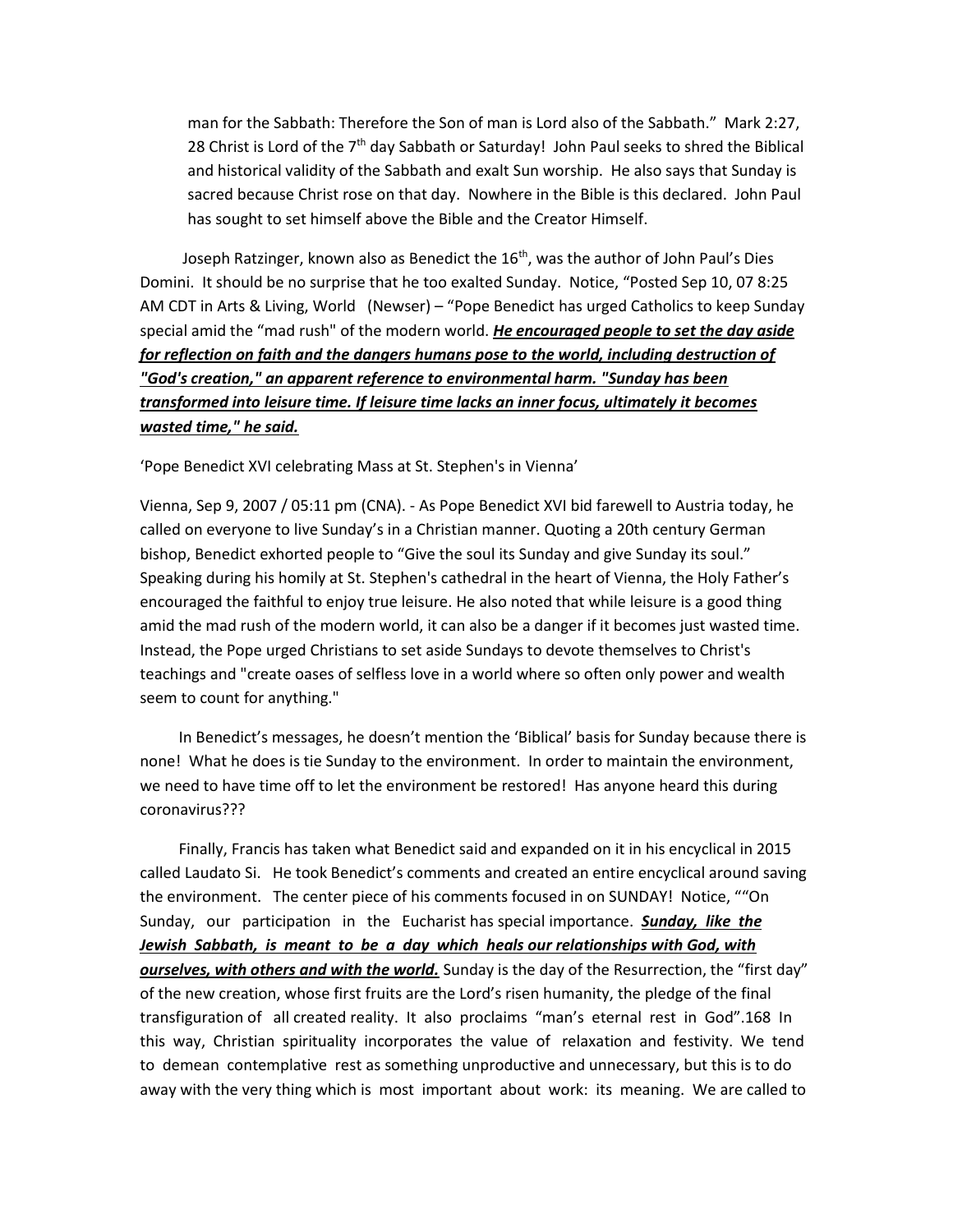man for the Sabbath: Therefore the Son of man is Lord also of the Sabbath." Mark 2:27, 28 Christ is Lord of the 7<sup>th</sup> day Sabbath or Saturday! John Paul seeks to shred the Biblical and historical validity of the Sabbath and exalt Sun worship. He also says that Sunday is sacred because Christ rose on that day. Nowhere in the Bible is this declared. John Paul has sought to set himself above the Bible and the Creator Himself.

Joseph Ratzinger, known also as Benedict the  $16<sup>th</sup>$ , was the author of John Paul's Dies Domini. It should be no surprise that he too exalted Sunday. Notice, "Posted Sep 10, 07 8:25 AM CDT in Arts & Living, World (Newser) – "Pope Benedict has urged Catholics to keep Sunday special amid the "mad rush" of the modern world. *He encouraged people to set the day aside for reflection on faith and the dangers humans pose to the world, including destruction of "God's creation," an apparent reference to environmental harm. "Sunday has been transformed into leisure time. If leisure time lacks an inner focus, ultimately it becomes wasted time," he said.* 

'Pope Benedict XVI celebrating Mass at St. Stephen's in Vienna'

Vienna, Sep 9, 2007 / 05:11 pm (CNA). - As Pope Benedict XVI bid farewell to Austria today, he called on everyone to live Sunday's in a Christian manner. Quoting a 20th century German bishop, Benedict exhorted people to "Give the soul its Sunday and give Sunday its soul." Speaking during his homily at St. Stephen's cathedral in the heart of Vienna, the Holy Father's encouraged the faithful to enjoy true leisure. He also noted that while leisure is a good thing amid the mad rush of the modern world, it can also be a danger if it becomes just wasted time. Instead, the Pope urged Christians to set aside Sundays to devote themselves to Christ's teachings and "create oases of selfless love in a world where so often only power and wealth seem to count for anything."

 In Benedict's messages, he doesn't mention the 'Biblical' basis for Sunday because there is none! What he does is tie Sunday to the environment. In order to maintain the environment, we need to have time off to let the environment be restored! Has anyone heard this during coronavirus???

 Finally, Francis has taken what Benedict said and expanded on it in his encyclical in 2015 called Laudato Si. He took Benedict's comments and created an entire encyclical around saving the environment. The center piece of his comments focused in on SUNDAY! Notice, ""On Sunday, our participation in the Eucharist has special importance. *Sunday, like the Jewish Sabbath, is meant to be a day which heals our relationships with God, with ourselves, with others and with the world.* Sunday is the day of the Resurrection, the "first day" of the new creation, whose first fruits are the Lord's risen humanity, the pledge of the final transfiguration of all created reality. It also proclaims "man's eternal rest in God".168 In this way, Christian spirituality incorporates the value of relaxation and festivity. We tend to demean contemplative rest as something unproductive and unnecessary, but this is to do away with the very thing which is most important about work: its meaning. We are called to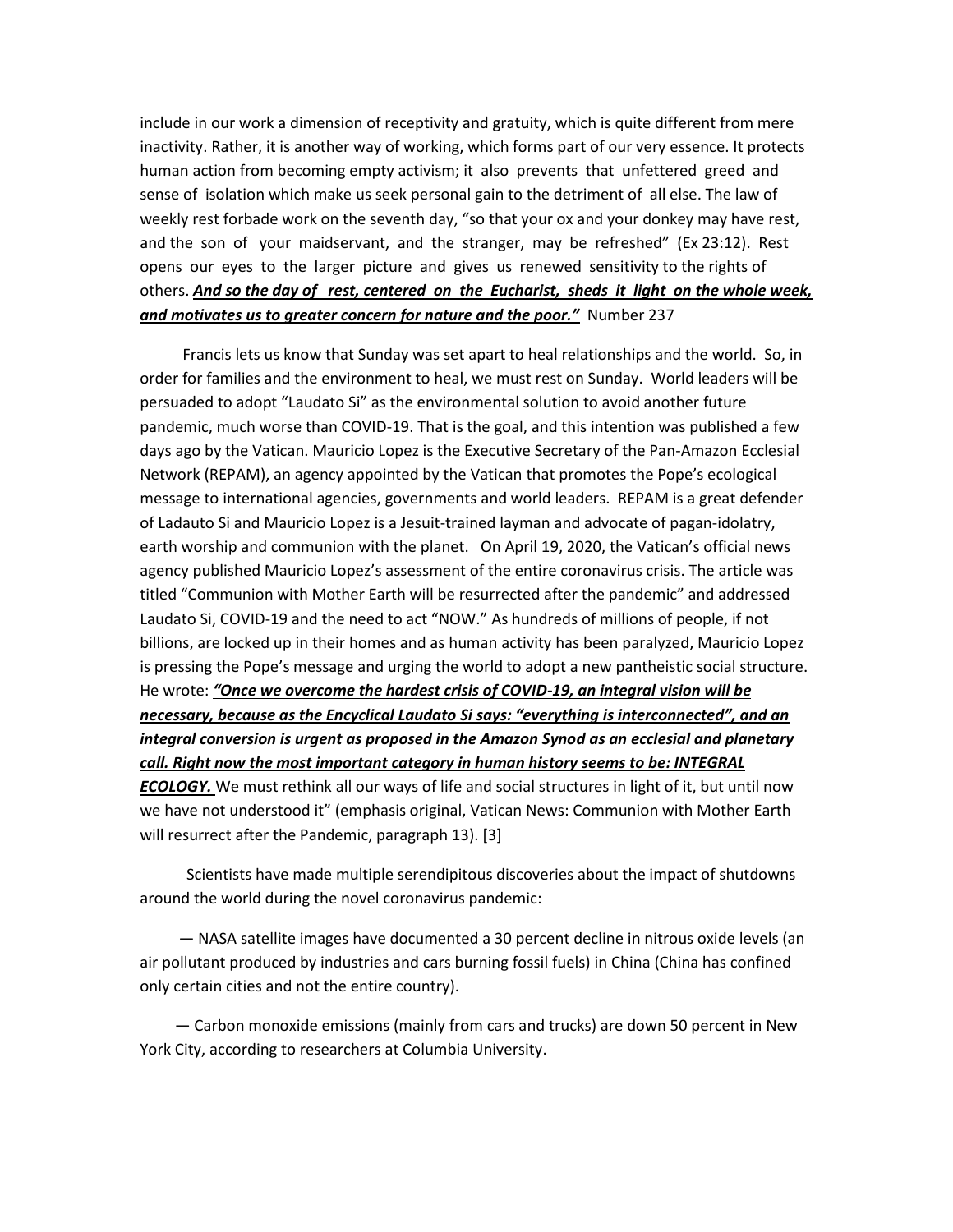include in our work a dimension of receptivity and gratuity, which is quite different from mere inactivity. Rather, it is another way of working, which forms part of our very essence. It protects human action from becoming empty activism; it also prevents that unfettered greed and sense of isolation which make us seek personal gain to the detriment of all else. The law of weekly rest forbade work on the seventh day, "so that your ox and your donkey may have rest, and the son of your maidservant, and the stranger, may be refreshed" (Ex 23:12). Rest opens our eyes to the larger picture and gives us renewed sensitivity to the rights of others. *And so the day of rest, centered on the Eucharist, sheds it light on the whole week, and motivates us to greater concern for nature and the poor."* Number 237

 Francis lets us know that Sunday was set apart to heal relationships and the world. So, in order for families and the environment to heal, we must rest on Sunday. World leaders will be persuaded to adopt "Laudato Si" as the environmental solution to avoid another future pandemic, much worse than COVID-19. That is the goal, and this intention was published a few days ago by the Vatican. Mauricio Lopez is the Executive Secretary of the Pan-Amazon Ecclesial Network (REPAM), an agency appointed by the Vatican that promotes the Pope's ecological message to international agencies, governments and world leaders. REPAM is a great defender of Ladauto Si and Mauricio Lopez is a Jesuit-trained layman and advocate of pagan-idolatry, earth worship and communion with the planet. On April 19, 2020, the Vatican's official news agency published Mauricio Lopez's assessment of the entire coronavirus crisis. The article was titled "Communion with Mother Earth will be resurrected after the pandemic" and addressed Laudato Si, COVID-19 and the need to act "NOW." As hundreds of millions of people, if not billions, are locked up in their homes and as human activity has been paralyzed, Mauricio Lopez is pressing the Pope's message and urging the world to adopt a new pantheistic social structure. He wrote: *"Once we overcome the hardest crisis of COVID-19, an integral vision will be necessary, because as the Encyclical Laudato Si says: "everything is interconnected", and an integral conversion is urgent as proposed in the Amazon Synod as an ecclesial and planetary call. Right now the most important category in human history seems to be: INTEGRAL ECOLOGY.* We must rethink all our ways of life and social structures in light of it, but until now we have not understood it" (emphasis original, Vatican News: Communion with Mother Earth will resurrect after the Pandemic, paragraph 13). [3]

 Scientists have made multiple serendipitous discoveries about the impact of shutdowns around the world during the novel coronavirus pandemic:

 — NASA satellite images have documented a 30 percent decline in nitrous oxide levels (an air pollutant produced by industries and cars burning fossil fuels) in China (China has confined only certain cities and not the entire country).

 — Carbon monoxide emissions (mainly from cars and trucks) are down 50 percent in New York City, according to researchers at Columbia University.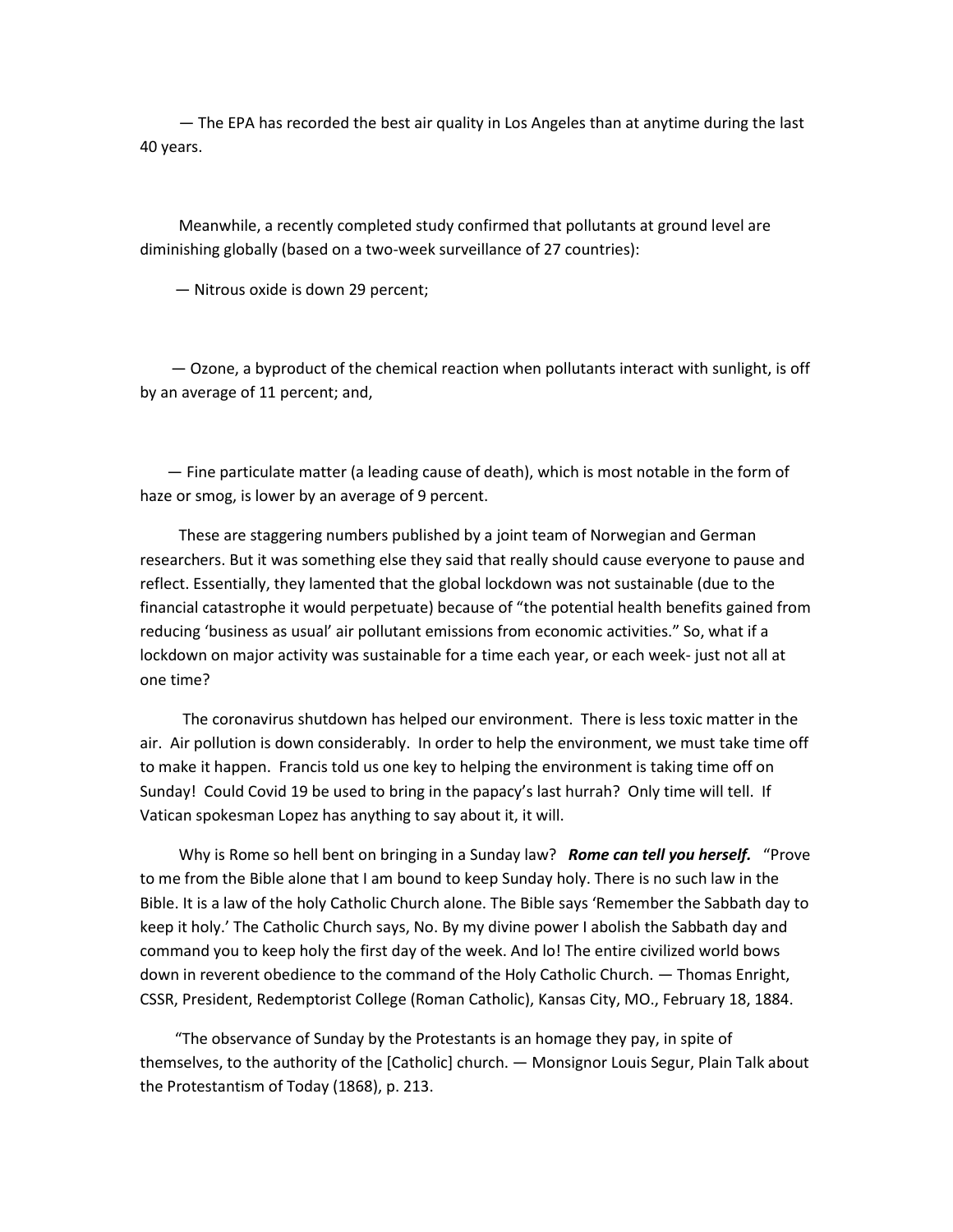— The EPA has recorded the best air quality in Los Angeles than at anytime during the last 40 years.

 Meanwhile, a recently completed study confirmed that pollutants at ground level are diminishing globally (based on a two-week surveillance of 27 countries):

— Nitrous oxide is down 29 percent;

 — Ozone, a byproduct of the chemical reaction when pollutants interact with sunlight, is off by an average of 11 percent; and,

 — Fine particulate matter (a leading cause of death), which is most notable in the form of haze or smog, is lower by an average of 9 percent.

 These are staggering numbers published by a joint team of Norwegian and German researchers. But it was something else they said that really should cause everyone to pause and reflect. Essentially, they lamented that the global lockdown was not sustainable (due to the financial catastrophe it would perpetuate) because of "the potential health benefits gained from reducing 'business as usual' air pollutant emissions from economic activities." So, what if a lockdown on major activity was sustainable for a time each year, or each week- just not all at one time?

 The coronavirus shutdown has helped our environment. There is less toxic matter in the air. Air pollution is down considerably. In order to help the environment, we must take time off to make it happen. Francis told us one key to helping the environment is taking time off on Sunday! Could Covid 19 be used to bring in the papacy's last hurrah? Only time will tell. If Vatican spokesman Lopez has anything to say about it, it will.

 Why is Rome so hell bent on bringing in a Sunday law? *Rome can tell you herself.* "Prove to me from the Bible alone that I am bound to keep Sunday holy. There is no such law in the Bible. It is a law of the holy Catholic Church alone. The Bible says 'Remember the Sabbath day to keep it holy.' The Catholic Church says, No. By my divine power I abolish the Sabbath day and command you to keep holy the first day of the week. And lo! The entire civilized world bows down in reverent obedience to the command of the Holy Catholic Church. — Thomas Enright, CSSR, President, Redemptorist College (Roman Catholic), Kansas City, MO., February 18, 1884.

 "The observance of Sunday by the Protestants is an homage they pay, in spite of themselves, to the authority of the [Catholic] church. — Monsignor Louis Segur, Plain Talk about the Protestantism of Today (1868), p. 213.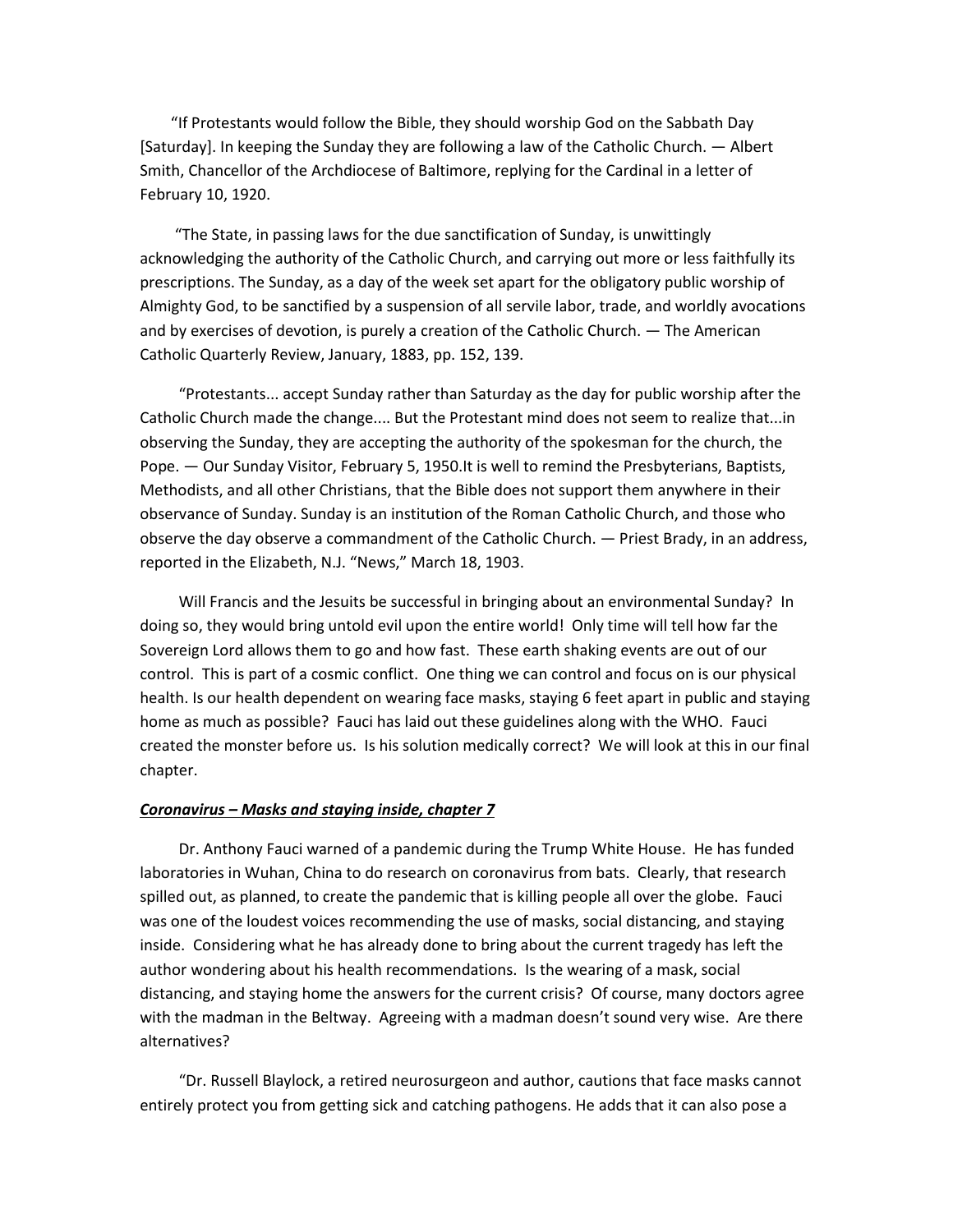"If Protestants would follow the Bible, they should worship God on the Sabbath Day [Saturday]. In keeping the Sunday they are following a law of the Catholic Church. — Albert Smith, Chancellor of the Archdiocese of Baltimore, replying for the Cardinal in a letter of February 10, 1920.

 "The State, in passing laws for the due sanctification of Sunday, is unwittingly acknowledging the authority of the Catholic Church, and carrying out more or less faithfully its prescriptions. The Sunday, as a day of the week set apart for the obligatory public worship of Almighty God, to be sanctified by a suspension of all servile labor, trade, and worldly avocations and by exercises of devotion, is purely a creation of the Catholic Church. — The American Catholic Quarterly Review, January, 1883, pp. 152, 139.

 "Protestants... accept Sunday rather than Saturday as the day for public worship after the Catholic Church made the change.... But the Protestant mind does not seem to realize that...in observing the Sunday, they are accepting the authority of the spokesman for the church, the Pope. — Our Sunday Visitor, February 5, 1950.It is well to remind the Presbyterians, Baptists, Methodists, and all other Christians, that the Bible does not support them anywhere in their observance of Sunday. Sunday is an institution of the Roman Catholic Church, and those who observe the day observe a commandment of the Catholic Church. — Priest Brady, in an address, reported in the Elizabeth, N.J. "News," March 18, 1903.

 Will Francis and the Jesuits be successful in bringing about an environmental Sunday? In doing so, they would bring untold evil upon the entire world! Only time will tell how far the Sovereign Lord allows them to go and how fast. These earth shaking events are out of our control. This is part of a cosmic conflict. One thing we can control and focus on is our physical health. Is our health dependent on wearing face masks, staying 6 feet apart in public and staying home as much as possible? Fauci has laid out these guidelines along with the WHO. Fauci created the monster before us. Is his solution medically correct? We will look at this in our final chapter.

#### *Coronavirus – Masks and staying inside, chapter 7*

 Dr. Anthony Fauci warned of a pandemic during the Trump White House. He has funded laboratories in Wuhan, China to do research on coronavirus from bats. Clearly, that research spilled out, as planned, to create the pandemic that is killing people all over the globe. Fauci was one of the loudest voices recommending the use of masks, social distancing, and staying inside. Considering what he has already done to bring about the current tragedy has left the author wondering about his health recommendations. Is the wearing of a mask, social distancing, and staying home the answers for the current crisis? Of course, many doctors agree with the madman in the Beltway. Agreeing with a madman doesn't sound very wise. Are there alternatives?

 "Dr. Russell Blaylock, a retired neurosurgeon and author, cautions that face masks cannot entirely protect you from getting sick and catching pathogens. He adds that it can also pose a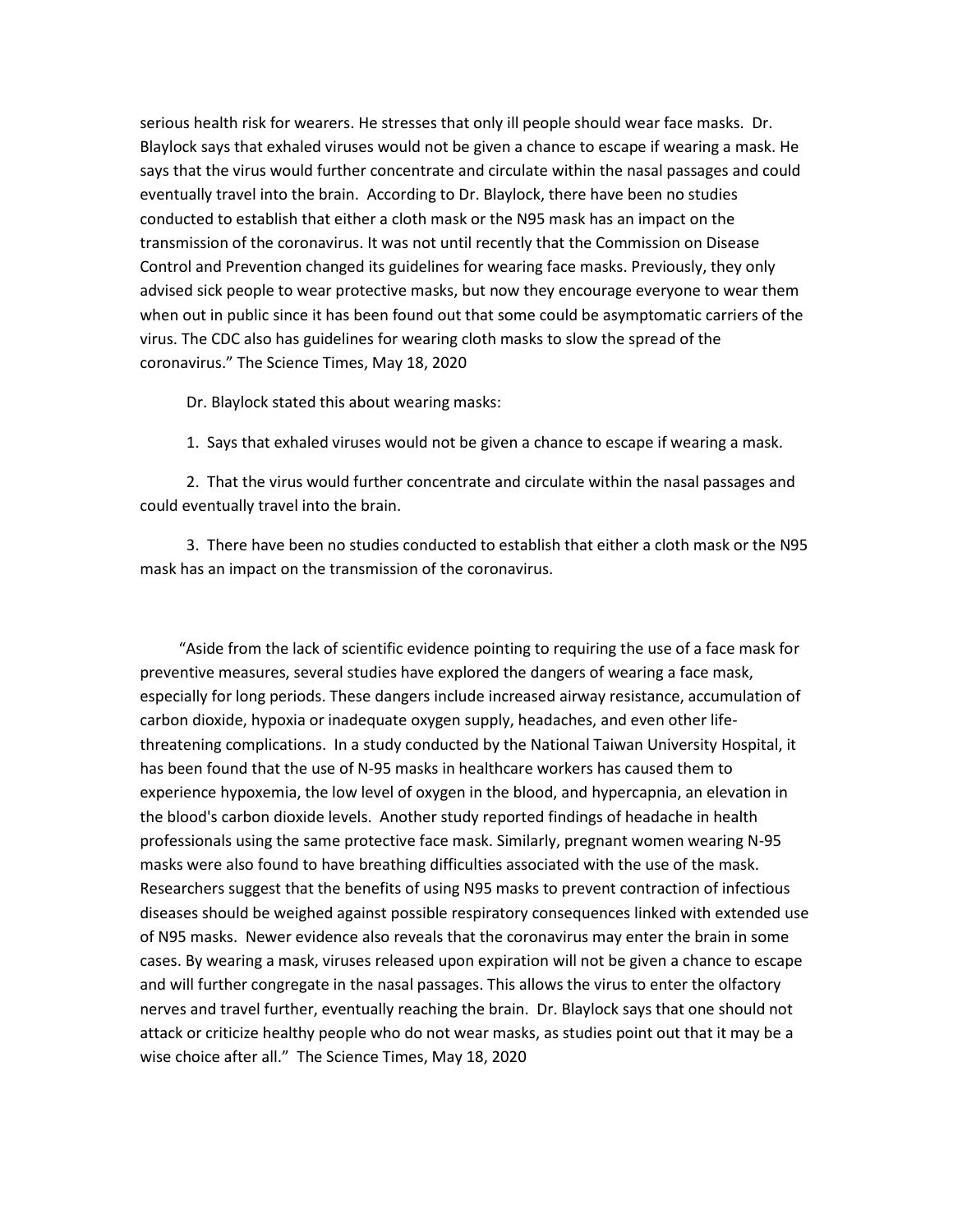serious health risk for wearers. He stresses that only ill people should wear face masks. Dr. Blaylock says that exhaled viruses would not be given a chance to escape if wearing a mask. He says that the virus would further concentrate and circulate within the nasal passages and could eventually travel into the brain. According to Dr. Blaylock, there have been no studies conducted to establish that either a cloth mask or the N95 mask has an impact on the transmission of the coronavirus. It was not until recently that the Commission on Disease Control and Prevention changed its guidelines for wearing face masks. Previously, they only advised sick people to wear protective masks, but now they encourage everyone to wear them when out in public since it has been found out that some could be asymptomatic carriers of the virus. The CDC also has guidelines for wearing cloth masks to slow the spread of the coronavirus." The Science Times, May 18, 2020

Dr. Blaylock stated this about wearing masks:

1. Says that exhaled viruses would not be given a chance to escape if wearing a mask.

 2. That the virus would further concentrate and circulate within the nasal passages and could eventually travel into the brain.

 3. There have been no studies conducted to establish that either a cloth mask or the N95 mask has an impact on the transmission of the coronavirus.

 "Aside from the lack of scientific evidence pointing to requiring the use of a face mask for preventive measures, several studies have explored the dangers of wearing a face mask, especially for long periods. These dangers include increased airway resistance, accumulation of carbon dioxide, hypoxia or inadequate oxygen supply, headaches, and even other lifethreatening complications. In a study conducted by the National Taiwan University Hospital, it has been found that the use of N-95 masks in healthcare workers has caused them to experience hypoxemia, the low level of oxygen in the blood, and hypercapnia, an elevation in the blood's carbon dioxide levels. Another study reported findings of headache in health professionals using the same protective face mask. Similarly, pregnant women wearing N-95 masks were also found to have breathing difficulties associated with the use of the mask. Researchers suggest that the benefits of using N95 masks to prevent contraction of infectious diseases should be weighed against possible respiratory consequences linked with extended use of N95 masks. Newer evidence also reveals that the coronavirus may enter the brain in some cases. By wearing a mask, viruses released upon expiration will not be given a chance to escape and will further congregate in the nasal passages. This allows the virus to enter the olfactory nerves and travel further, eventually reaching the brain. Dr. Blaylock says that one should not attack or criticize healthy people who do not wear masks, as studies point out that it may be a wise choice after all." The Science Times, May 18, 2020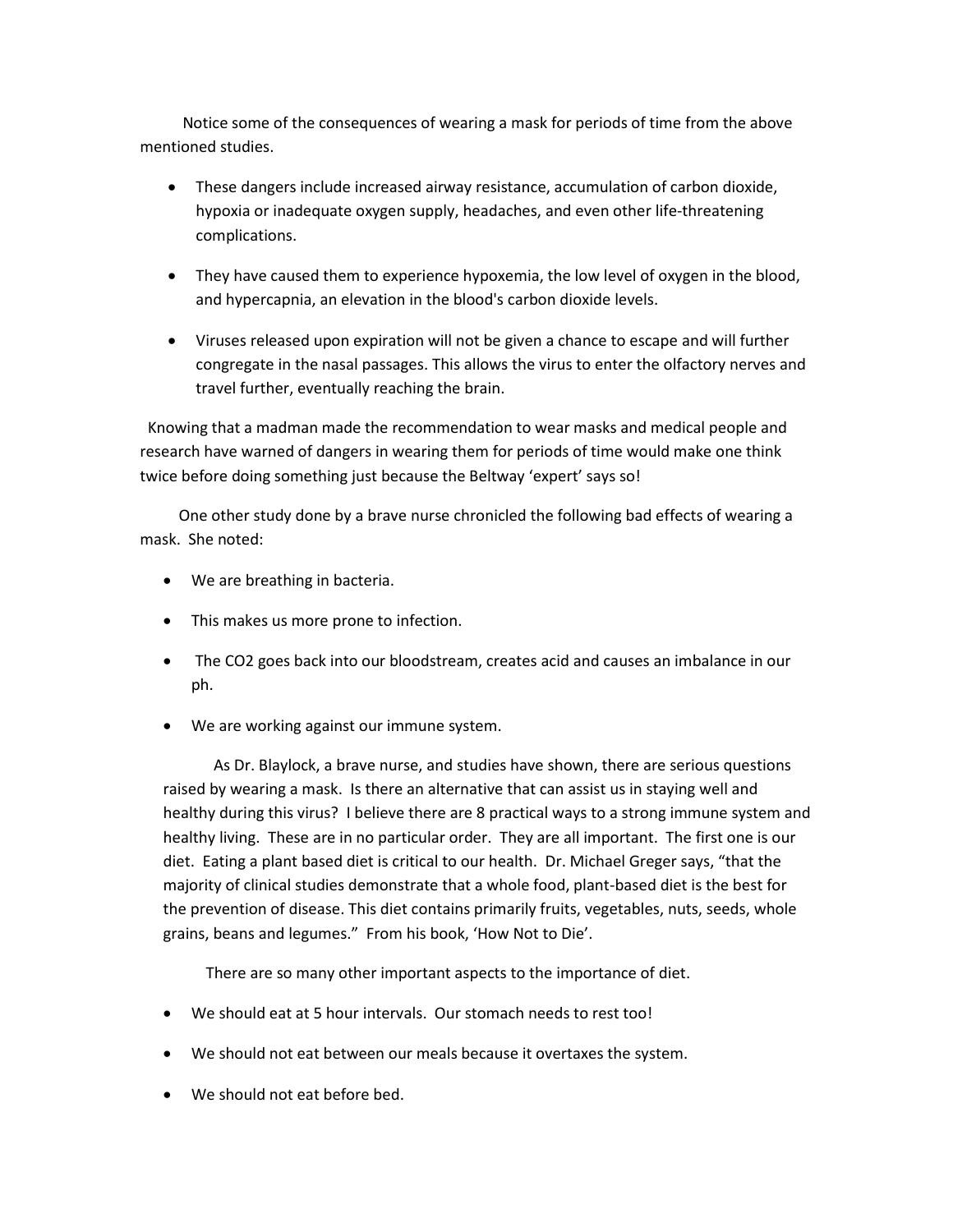Notice some of the consequences of wearing a mask for periods of time from the above mentioned studies.

- These dangers include increased airway resistance, accumulation of carbon dioxide, hypoxia or inadequate oxygen supply, headaches, and even other life-threatening complications.
- They have caused them to experience hypoxemia, the low level of oxygen in the blood, and hypercapnia, an elevation in the blood's carbon dioxide levels.
- Viruses released upon expiration will not be given a chance to escape and will further congregate in the nasal passages. This allows the virus to enter the olfactory nerves and travel further, eventually reaching the brain.

 Knowing that a madman made the recommendation to wear masks and medical people and research have warned of dangers in wearing them for periods of time would make one think twice before doing something just because the Beltway 'expert' says so!

 One other study done by a brave nurse chronicled the following bad effects of wearing a mask. She noted:

- We are breathing in bacteria.
- This makes us more prone to infection.
- The CO2 goes back into our bloodstream, creates acid and causes an imbalance in our ph.
- We are working against our immune system.

 As Dr. Blaylock, a brave nurse, and studies have shown, there are serious questions raised by wearing a mask. Is there an alternative that can assist us in staying well and healthy during this virus? I believe there are 8 practical ways to a strong immune system and healthy living. These are in no particular order. They are all important. The first one is our diet. Eating a plant based diet is critical to our health. Dr. Michael Greger says, "that the majority of clinical studies demonstrate that a whole food, plant-based diet is the best for the prevention of disease. This diet contains primarily fruits, vegetables, nuts, seeds, whole grains, beans and legumes." From his book, 'How Not to Die'.

There are so many other important aspects to the importance of diet.

- We should eat at 5 hour intervals. Our stomach needs to rest too!
- We should not eat between our meals because it overtaxes the system.
- We should not eat before bed.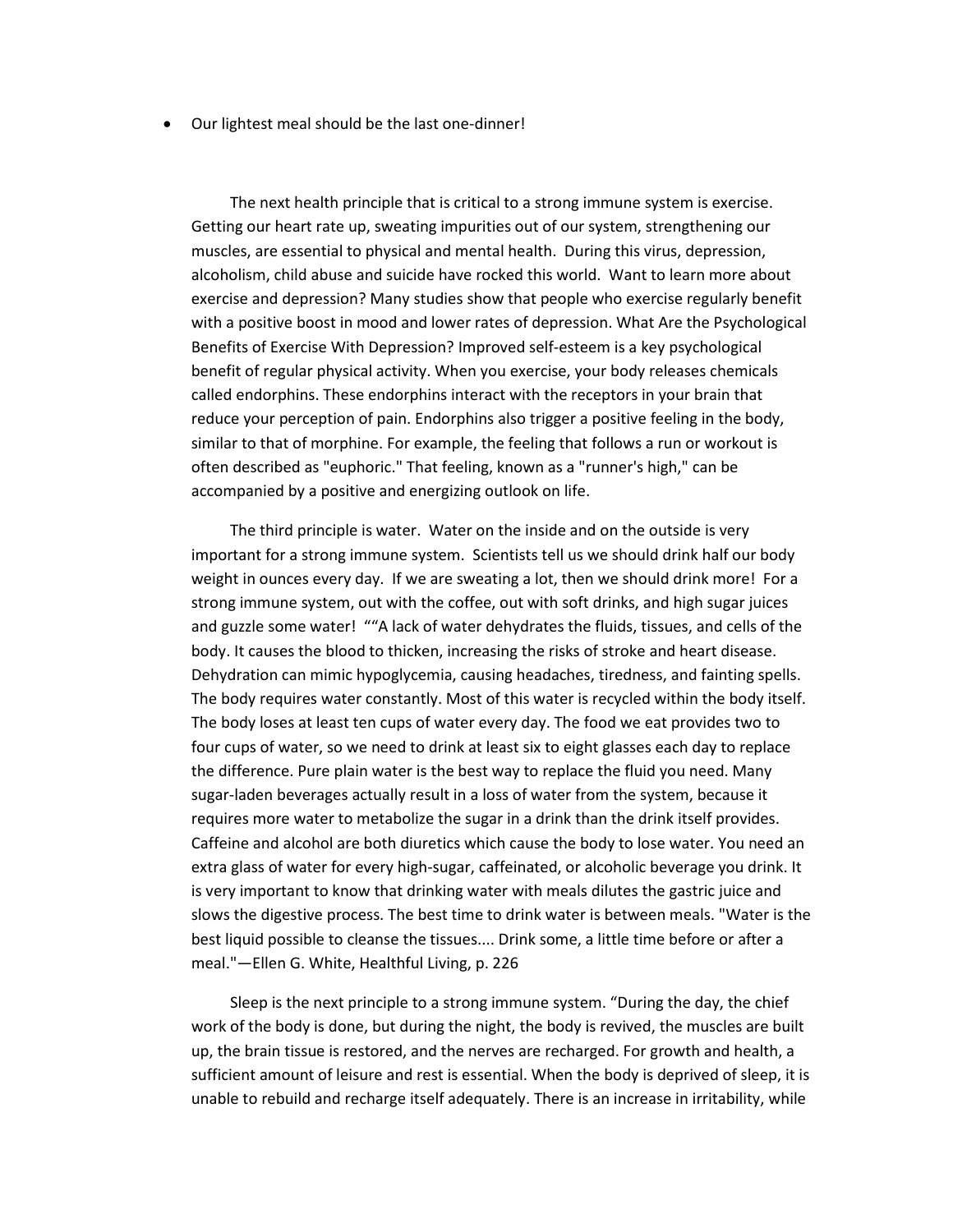• Our lightest meal should be the last one-dinner!

 The next health principle that is critical to a strong immune system is exercise. Getting our heart rate up, sweating impurities out of our system, strengthening our muscles, are essential to physical and mental health. During this virus, depression, alcoholism, child abuse and suicide have rocked this world. Want to learn more about exercise and depression? Many studies show that people who exercise regularly benefit with a positive boost in mood and lower rates of depression. What Are the Psychological Benefits of Exercise With Depression? Improved self-esteem is a key psychological benefit of regular physical activity. When you exercise, your body releases chemicals called endorphins. These endorphins interact with the receptors in your brain that reduce your perception of pain. Endorphins also trigger a positive feeling in the body, similar to that of morphine. For example, the feeling that follows a run or workout is often described as "euphoric." That feeling, known as a "runner's high," can be accompanied by a positive and energizing outlook on life.

 The third principle is water. Water on the inside and on the outside is very important for a strong immune system. Scientists tell us we should drink half our body weight in ounces every day. If we are sweating a lot, then we should drink more! For a strong immune system, out with the coffee, out with soft drinks, and high sugar juices and guzzle some water! ""A lack of water dehydrates the fluids, tissues, and cells of the body. It causes the blood to thicken, increasing the risks of stroke and heart disease. Dehydration can mimic hypoglycemia, causing headaches, tiredness, and fainting spells. The body requires water constantly. Most of this water is recycled within the body itself. The body loses at least ten cups of water every day. The food we eat provides two to four cups of water, so we need to drink at least six to eight glasses each day to replace the difference. Pure plain water is the best way to replace the fluid you need. Many sugar-laden beverages actually result in a loss of water from the system, because it requires more water to metabolize the sugar in a drink than the drink itself provides. Caffeine and alcohol are both diuretics which cause the body to lose water. You need an extra glass of water for every high-sugar, caffeinated, or alcoholic beverage you drink. It is very important to know that drinking water with meals dilutes the gastric juice and slows the digestive process. The best time to drink water is between meals. "Water is the best liquid possible to cleanse the tissues.... Drink some, a little time before or after a meal."—Ellen G. White, Healthful Living, p. 226

 Sleep is the next principle to a strong immune system. "During the day, the chief work of the body is done, but during the night, the body is revived, the muscles are built up, the brain tissue is restored, and the nerves are recharged. For growth and health, a sufficient amount of leisure and rest is essential. When the body is deprived of sleep, it is unable to rebuild and recharge itself adequately. There is an increase in irritability, while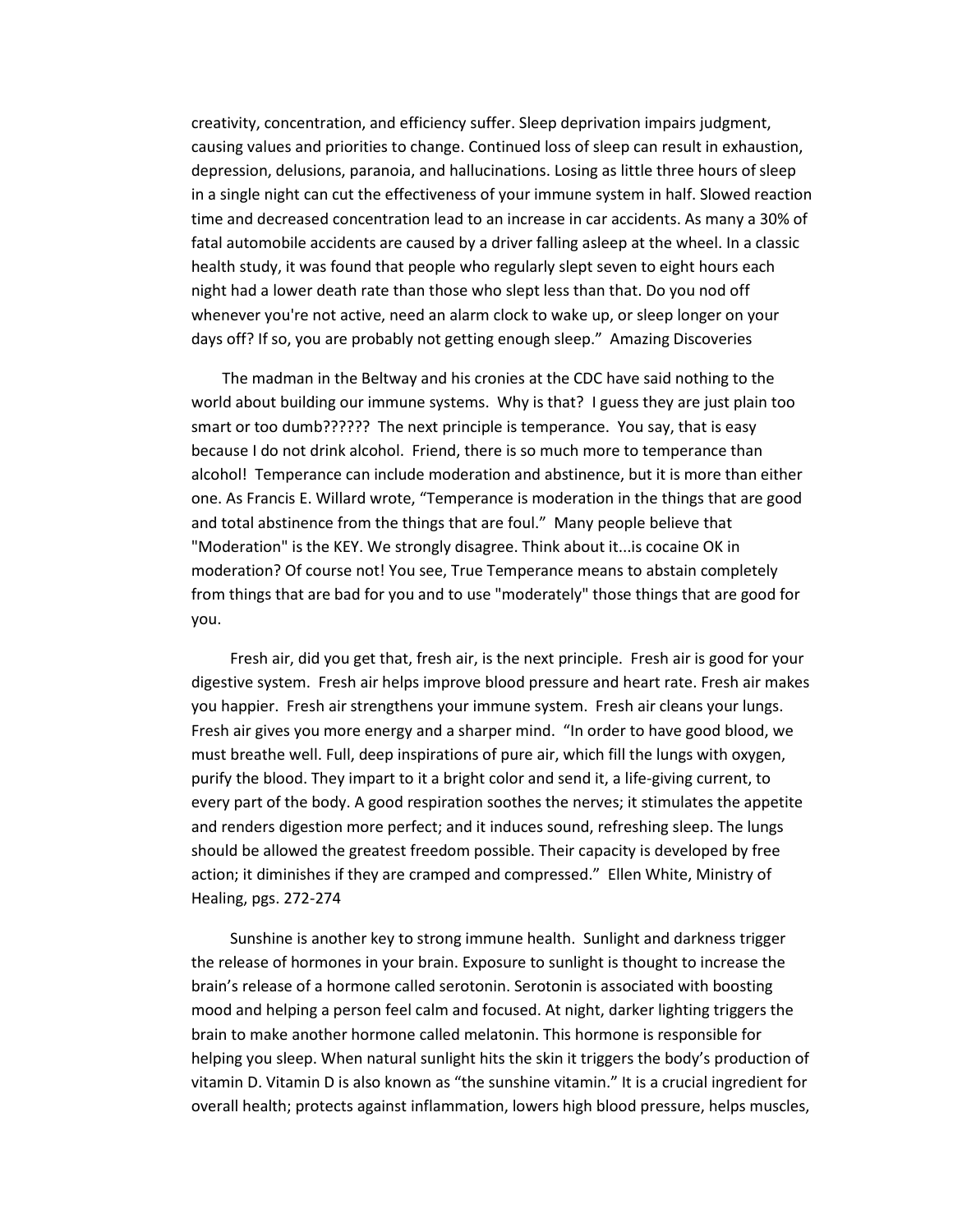creativity, concentration, and efficiency suffer. Sleep deprivation impairs judgment, causing values and priorities to change. Continued loss of sleep can result in exhaustion, depression, delusions, paranoia, and hallucinations. Losing as little three hours of sleep in a single night can cut the effectiveness of your immune system in half. Slowed reaction time and decreased concentration lead to an increase in car accidents. As many a 30% of fatal automobile accidents are caused by a driver falling asleep at the wheel. In a classic health study, it was found that people who regularly slept seven to eight hours each night had a lower death rate than those who slept less than that. Do you nod off whenever you're not active, need an alarm clock to wake up, or sleep longer on your days off? If so, you are probably not getting enough sleep." Amazing Discoveries

 The madman in the Beltway and his cronies at the CDC have said nothing to the world about building our immune systems. Why is that? I guess they are just plain too smart or too dumb?????? The next principle is temperance. You say, that is easy because I do not drink alcohol. Friend, there is so much more to temperance than alcohol! Temperance can include moderation and abstinence, but it is more than either one. As Francis E. Willard wrote, "Temperance is moderation in the things that are good and total abstinence from the things that are foul." Many people believe that "Moderation" is the KEY. We strongly disagree. Think about it...is cocaine OK in moderation? Of course not! You see, True Temperance means to abstain completely from things that are bad for you and to use "moderately" those things that are good for you.

 Fresh air, did you get that, fresh air, is the next principle. Fresh air is good for your digestive system. Fresh air helps improve blood pressure and heart rate. Fresh air makes you happier. Fresh air strengthens your immune system. Fresh air cleans your lungs. Fresh air gives you more energy and a sharper mind. "In order to have good blood, we must breathe well. Full, deep inspirations of pure air, which fill the lungs with oxygen, purify the blood. They impart to it a bright color and send it, a life-giving current, to every part of the body. A good respiration soothes the nerves; it stimulates the appetite and renders digestion more perfect; and it induces sound, refreshing sleep. The lungs should be allowed the greatest freedom possible. Their capacity is developed by free action; it diminishes if they are cramped and compressed." Ellen White, Ministry of Healing, pgs. 272-274

 Sunshine is another key to strong immune health. Sunlight and darkness trigger the release of hormones in your brain. Exposure to sunlight is thought to increase the brain's release of a hormone called serotonin. Serotonin is associated with boosting mood and helping a person feel calm and focused. At night, darker lighting triggers the brain to make another hormone called melatonin. This hormone is responsible for helping you sleep. When natural sunlight hits the skin it triggers the body's production of vitamin D. Vitamin D is also known as "the sunshine vitamin." It is a crucial ingredient for overall health; protects against inflammation, lowers high blood pressure, helps muscles,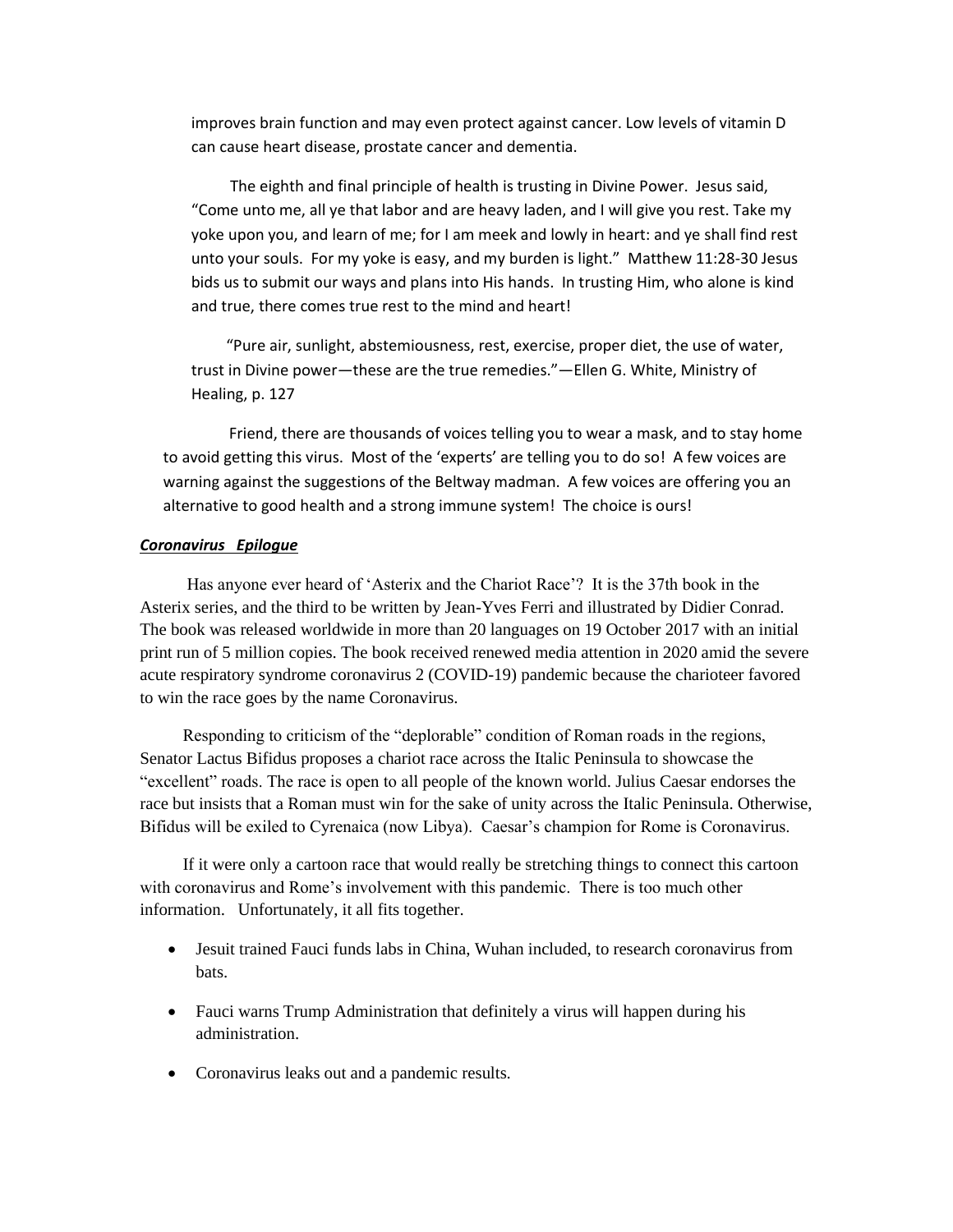improves brain function and may even protect against cancer. Low levels of vitamin D can cause heart disease, prostate cancer and dementia.

 The eighth and final principle of health is trusting in Divine Power. Jesus said, "Come unto me, all ye that labor and are heavy laden, and I will give you rest. Take my yoke upon you, and learn of me; for I am meek and lowly in heart: and ye shall find rest unto your souls. For my yoke is easy, and my burden is light." Matthew 11:28-30 Jesus bids us to submit our ways and plans into His hands. In trusting Him, who alone is kind and true, there comes true rest to the mind and heart!

 "Pure air, sunlight, abstemiousness, rest, exercise, proper diet, the use of water, trust in Divine power—these are the true remedies."—Ellen G. White, Ministry of Healing, p. 127

 Friend, there are thousands of voices telling you to wear a mask, and to stay home to avoid getting this virus. Most of the 'experts' are telling you to do so! A few voices are warning against the suggestions of the Beltway madman. A few voices are offering you an alternative to good health and a strong immune system! The choice is ours!

#### *Coronavirus Epilogue*

 Has anyone ever heard of 'Asterix and the Chariot Race'? It is the 37th book in the Asterix series, and the third to be written by Jean-Yves Ferri and illustrated by Didier Conrad. The book was released worldwide in more than 20 languages on 19 October 2017 with an initial print run of 5 million copies. The book received renewed media attention in 2020 amid the severe acute respiratory syndrome coronavirus 2 (COVID-19) pandemic because the charioteer favored to win the race goes by the name Coronavirus.

 Responding to criticism of the "deplorable" condition of Roman roads in the regions, Senator Lactus Bifidus proposes a chariot race across the Italic Peninsula to showcase the "excellent" roads. The race is open to all people of the known world. Julius Caesar endorses the race but insists that a Roman must win for the sake of unity across the Italic Peninsula. Otherwise, Bifidus will be exiled to Cyrenaica (now Libya). Caesar's champion for Rome is Coronavirus.

 If it were only a cartoon race that would really be stretching things to connect this cartoon with coronavirus and Rome's involvement with this pandemic. There is too much other information. Unfortunately, it all fits together.

- Jesuit trained Fauci funds labs in China, Wuhan included, to research coronavirus from bats.
- Fauci warns Trump Administration that definitely a virus will happen during his administration.
- Coronavirus leaks out and a pandemic results.